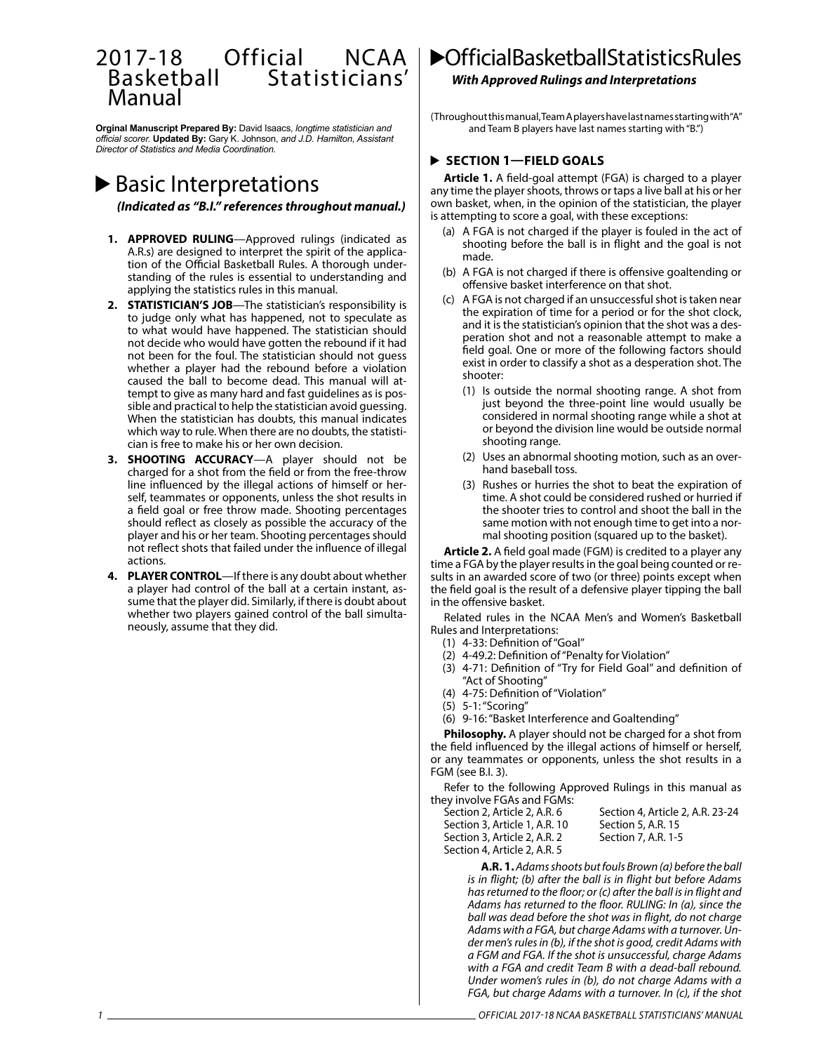### 2017-18 Official NCAA Basketball Statisticians' Manual

**Orginal Manuscript Prepared By:** David Isaacs, *longtime statistician and official scorer.* **Updated By:** Gary K. Johnson, *and J.D. Hamilton, Assistant Director of Statistics and Media Coordination.* 

# Basic Interpretations

*(Indicated as "B.I." references throughout manual.)*

- **1. APPROVED RULING**—Approved rulings (indicated as A.R.s) are designed to interpret the spirit of the application of the Official Basketball Rules. A thorough understanding of the rules is essential to understanding and applying the statistics rules in this manual.
- **2. STATISTICIAN'S JOB**—The statistician's responsibility is to judge only what has happened, not to speculate as to what would have happened. The statistician should not decide who would have gotten the rebound if it had not been for the foul. The statistician should not guess whether a player had the rebound before a violation caused the ball to become dead. This manual will attempt to give as many hard and fast guidelines as is possible and practical to help the statistician avoid guessing. When the statistician has doubts, this manual indicates which way to rule. When there are no doubts, the statistician is free to make his or her own decision.
- **3. SHOOTING ACCURACY**—A player should not be charged for a shot from the field or from the free-throw line influenced by the illegal actions of himself or herself, teammates or opponents, unless the shot results in a field goal or free throw made. Shooting percentages should reflect as closely as possible the accuracy of the player and his or her team. Shooting percentages should not reflect shots that failed under the influence of illegal actions.
- **4. PLAYER CONTROL**—If there is any doubt about whether a player had control of the ball at a certain instant, assume that the player did. Similarly, if there is doubt about whether two players gained control of the ball simultaneously, assume that they did.

## **C**fficial Basketball Statistics Rules

### *With Approved Rulings and Interpretations*

(Throughout this manual, Team A players have last names starting with "A" and Team B players have last names starting with "B.")

### **SECTION 1—FIELD GOALS**

**Article 1.** A field-goal attempt (FGA) is charged to a player any time the player shoots, throws or taps a live ball at his or her own basket, when, in the opinion of the statistician, the player is attempting to score a goal, with these exceptions:

- (a) A FGA is not charged if the player is fouled in the act of shooting before the ball is in flight and the goal is not made.
- (b) A FGA is not charged if there is offensive goaltending or offensive basket interference on that shot.
- (c) A FGA is not charged if an unsuccessful shot is taken near the expiration of time for a period or for the shot clock, and it is the statistician's opinion that the shot was a desperation shot and not a reasonable attempt to make a field goal. One or more of the following factors should exist in order to classify a shot as a desperation shot. The shooter:
	- (1) Is outside the normal shooting range. A shot from just beyond the three-point line would usually be considered in normal shooting range while a shot at or beyond the division line would be outside normal shooting range.
	- (2) Uses an abnormal shooting motion, such as an overhand baseball toss.
	- (3) Rushes or hurries the shot to beat the expiration of time. A shot could be considered rushed or hurried if the shooter tries to control and shoot the ball in the same motion with not enough time to get into a normal shooting position (squared up to the basket).

**Article 2.** A field goal made (FGM) is credited to a player any time a FGA by the player results in the goal being counted or results in an awarded score of two (or three) points except when the field goal is the result of a defensive player tipping the ball in the offensive basket.

Related rules in the NCAA Men's and Women's Basketball Rules and Interpretations:

- (1) 4-33: Definition of "Goal"
- (2) 4-49.2: Definition of "Penalty for Violation"
- (3) 4-71: Definition of "Try for Field Goal" and definition of "Act of Shooting"
- (4) 4-75: Definition of "Violation"
- (5) 5-1: "Scoring"

(6) 9-16: "Basket Interference and Goaltending"

**Philosophy.** A player should not be charged for a shot from the field influenced by the illegal actions of himself or herself, or any teammates or opponents, unless the shot results in a FGM (see B.I. 3).

Refer to the following Approved Rulings in this manual as they involve FGAs and FGMs:

| Section 2, Article 2, A.R. 6  | Section 4, Article 2, A.R. 23-24 |
|-------------------------------|----------------------------------|
| Section 3, Article 1, A.R. 10 | Section 5, A.R. 15               |
| Section 3, Article 2, A.R. 2  | Section 7, A.R. 1-5              |
| Section 4, Article 2, A.R. 5  |                                  |

**A.R. 1.** *Adams shoots but fouls Brown (a) before the ball is in flight; (b) after the ball is in flight but before Adams has returned to the floor; or (c) after the ball is in flight and Adams has returned to the floor. RULING: In (a), since the ball was dead before the shot was in flight, do not charge Adams with a FGA, but charge Adams with a turnover. Under men's rules in (b), if the shot is good, credit Adams with a FGM and FGA. If the shot is unsuccessful, charge Adams with a FGA and credit Team B with a dead-ball rebound. Under women's rules in (b), do not charge Adams with a FGA, but charge Adams with a turnover. In (c), if the shot*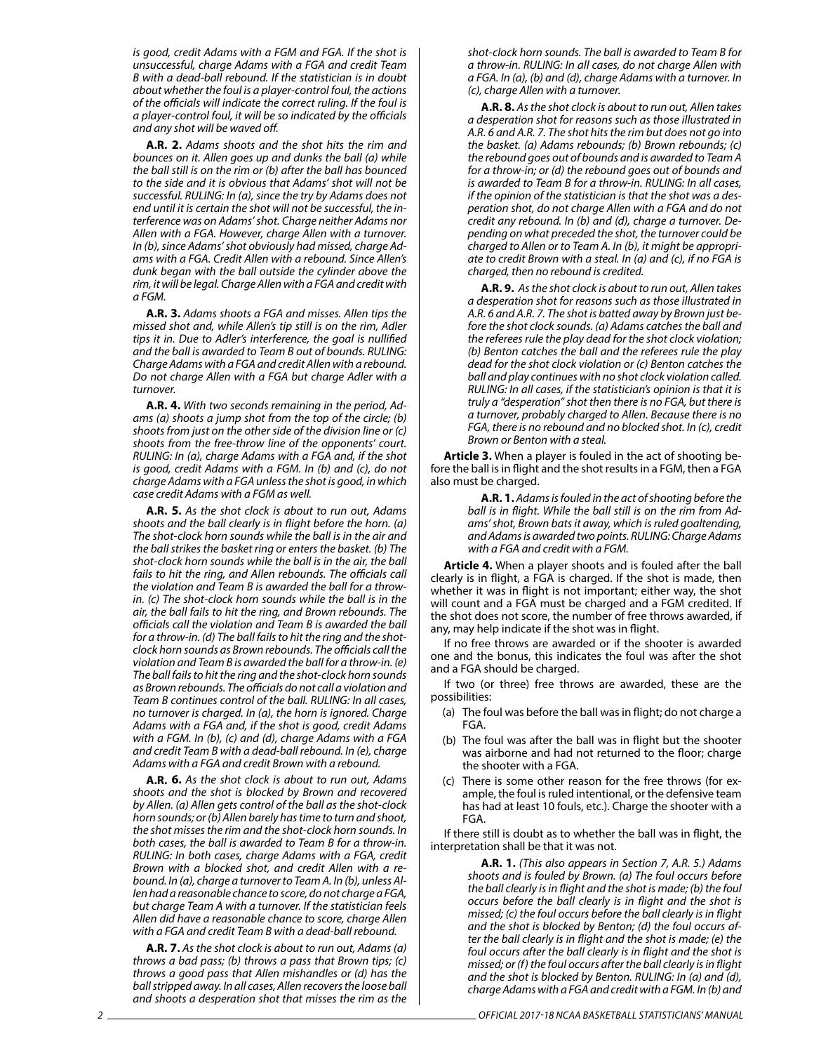*is good, credit Adams with a FGM and FGA. If the shot is unsuccessful, charge Adams with a FGA and credit Team B with a dead-ball rebound. If the statistician is in doubt about whether the foul is a player-control foul, the actions of the officials will indicate the correct ruling. If the foul is a player-control foul, it will be so indicated by the officials and any shot will be waved off.*

**A.R. 2.** *Adams shoots and the shot hits the rim and bounces on it. Allen goes up and dunks the ball (a) while the ball still is on the rim or (b) after the ball has bounced to the side and it is obvious that Adams' shot will not be successful. RULING: In (a), since the try by Adams does not end until it is certain the shot will not be successful, the interference was on Adams' shot. Charge neither Adams nor Allen with a FGA. However, charge Allen with a turnover. In (b), since Adams' shot obviously had missed, charge Adams with a FGA. Credit Allen with a rebound. Since Allen's dunk began with the ball outside the cylinder above the rim, it will be legal. Charge Allen with a FGA and credit with a FGM.*

**A.R. 3.** *Adams shoots a FGA and misses. Allen tips the missed shot and, while Allen's tip still is on the rim, Adler tips it in. Due to Adler's interference, the goal is nullified and the ball is awarded to Team B out of bounds. RULING: Charge Adams with a FGA and credit Allen with a rebound. Do not charge Allen with a FGA but charge Adler with a turnover.*

**A.R. 4.** *With two seconds remaining in the period, Adams (a) shoots a jump shot from the top of the circle; (b) shoots from just on the other side of the division line or (c) shoots from the free-throw line of the opponents' court. RULING: In (a), charge Adams with a FGA and, if the shot is good, credit Adams with a FGM. In (b) and (c), do not charge Adams with a FGA unless the shot is good, in which case credit Adams with a FGM as well.*

**A.R. 5.** *As the shot clock is about to run out, Adams shoots and the ball clearly is in flight before the horn. (a) The shot-clock horn sounds while the ball is in the air and the ball strikes the basket ring or enters the basket. (b) The shot-clock horn sounds while the ball is in the air, the ball fails to hit the ring, and Allen rebounds. The officials call the violation and Team B is awarded the ball for a throwin. (c) The shot-clock horn sounds while the ball is in the air, the ball fails to hit the ring, and Brown rebounds. The officials call the violation and Team B is awarded the ball for a throw-in. (d) The ball fails to hit the ring and the shotclock horn sounds as Brown rebounds. The officials call the violation and Team B is awarded the ball for a throw-in. (e) The ball fails to hit the ring and the shot-clock horn sounds as Brown rebounds. The officials do not call a violation and Team B continues control of the ball. RULING: In all cases, no turnover is charged. In (a), the horn is ignored. Charge Adams with a FGA and, if the shot is good, credit Adams with a FGM. In (b), (c) and (d), charge Adams with a FGA and credit Team B with a dead-ball rebound. In (e), charge Adams with a FGA and credit Brown with a rebound.*

**A.R. 6.** *As the shot clock is about to run out, Adams shoots and the shot is blocked by Brown and recovered by Allen. (a) Allen gets control of the ball as the shot-clock horn sounds; or (b) Allen barely has time to turn and shoot, the shot misses the rim and the shot-clock horn sounds. In both cases, the ball is awarded to Team B for a throw-in. RULING: In both cases, charge Adams with a FGA, credit Brown with a blocked shot, and credit Allen with a rebound. In (a), charge a turnover to Team A. In (b), unless Allen had a reasonable chance to score, do not charge a FGA, but charge Team A with a turnover. If the statistician feels Allen did have a reasonable chance to score, charge Allen with a FGA and credit Team B with a dead-ball rebound.*

**A.R. 7.** *As the shot clock is about to run out, Adams (a) throws a bad pass; (b) throws a pass that Brown tips; (c) throws a good pass that Allen mishandles or (d) has the ball stripped away. In all cases, Allen recovers the loose ball and shoots a desperation shot that misses the rim as the*  *shot-clock horn sounds. The ball is awarded to Team B for a throw-in. RULING: In all cases, do not charge Allen with a FGA. In (a), (b) and (d), charge Adams with a turnover. In (c), charge Allen with a turnover.*

**A.R. 8.** *As the shot clock is about to run out, Allen takes a desperation shot for reasons such as those illustrated in A.R. 6 and A.R. 7. The shot hits the rim but does not go into the basket. (a) Adams rebounds; (b) Brown rebounds; (c) the rebound goes out of bounds and is awarded to Team A for a throw-in; or (d) the rebound goes out of bounds and is awarded to Team B for a throw-in. RULING: In all cases, if the opinion of the statistician is that the shot was a desperation shot, do not charge Allen with a FGA and do not credit any rebound. In (b) and (d), charge a turnover. Depending on what preceded the shot, the turnover could be charged to Allen or to Team A. In (b), it might be appropriate to credit Brown with a steal. In (a) and (c), if no FGA is charged, then no rebound is credited.*

**A.R. 9.** *As the shot clock is about to run out, Allen takes a desperation shot for reasons such as those illustrated in A.R. 6 and A.R. 7. The shot is batted away by Brown just before the shot clock sounds. (a) Adams catches the ball and the referees rule the play dead for the shot clock violation; (b) Benton catches the ball and the referees rule the play dead for the shot clock violation or (c) Benton catches the ball and play continues with no shot clock violation called. RULING: In all cases, if the statistician's opinion is that it is truly a "desperation" shot then there is no FGA, but there is a turnover, probably charged to Allen. Because there is no FGA, there is no rebound and no blocked shot. In (c), credit Brown or Benton with a steal.* 

**Article 3.** When a player is fouled in the act of shooting before the ball is in flight and the shot results in a FGM, then a FGA also must be charged.

> **A.R. 1.** *Adams is fouled in the act of shooting before the ball is in flight. While the ball still is on the rim from Adams' shot, Brown bats it away, which is ruled goaltending, and Adams is awarded two points. RULING: Charge Adams with a FGA and credit with a FGM.*

**Article 4.** When a player shoots and is fouled after the ball clearly is in flight, a FGA is charged. If the shot is made, then whether it was in flight is not important; either way, the shot will count and a FGA must be charged and a FGM credited. If the shot does not score, the number of free throws awarded, if any, may help indicate if the shot was in flight.

If no free throws are awarded or if the shooter is awarded one and the bonus, this indicates the foul was after the shot and a FGA should be charged.

If two (or three) free throws are awarded, these are the possibilities:

- (a) The foul was before the ball was in flight; do not charge a FGA.
- (b) The foul was after the ball was in flight but the shooter was airborne and had not returned to the floor; charge the shooter with a FGA.
- (c) There is some other reason for the free throws (for example, the foul is ruled intentional, or the defensive team has had at least 10 fouls, etc.). Charge the shooter with a FGA.

If there still is doubt as to whether the ball was in flight, the interpretation shall be that it was not.

> **A.R. 1.** *(This also appears in Section 7, A.R. 5.) Adams shoots and is fouled by Brown. (a) The foul occurs before the ball clearly is in flight and the shot is made; (b) the foul occurs before the ball clearly is in flight and the shot is missed; (c) the foul occurs before the ball clearly is in flight and the shot is blocked by Benton; (d) the foul occurs after the ball clearly is in flight and the shot is made; (e) the foul occurs after the ball clearly is in flight and the shot is missed; or (f) the foul occurs after the ball clearly is in flight and the shot is blocked by Benton. RULING: In (a) and (d), charge Adams with a FGA and credit with a FGM. In (b) and*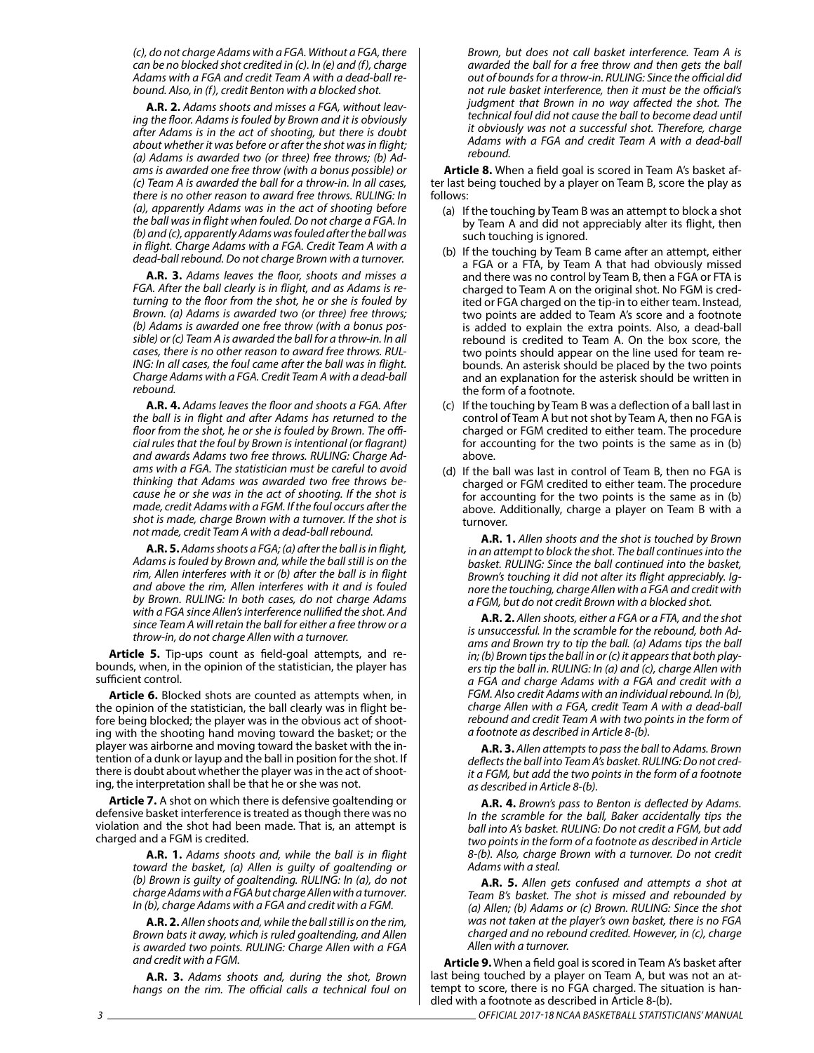*(c), do not charge Adams with a FGA. Without a FGA, there can be no blocked shot credited in (c). In (e) and (f), charge Adams with a FGA and credit Team A with a dead-ball rebound. Also, in (f), credit Benton with a blocked shot.*

**A.R. 2.** *Adams shoots and misses a FGA, without leaving the floor. Adams is fouled by Brown and it is obviously after Adams is in the act of shooting, but there is doubt about whether it was before or after the shot was in flight; (a) Adams is awarded two (or three) free throws; (b) Adams is awarded one free throw (with a bonus possible) or (c) Team A is awarded the ball for a throw-in. In all cases, there is no other reason to award free throws. RULING: In (a), apparently Adams was in the act of shooting before the ball was in flight when fouled. Do not charge a FGA. In (b) and (c), apparently Adams was fouled after the ball was in flight. Charge Adams with a FGA. Credit Team A with a dead-ball rebound. Do not charge Brown with a turnover.*

**A.R. 3.** *Adams leaves the floor, shoots and misses a FGA. After the ball clearly is in flight, and as Adams is returning to the floor from the shot, he or she is fouled by Brown. (a) Adams is awarded two (or three) free throws; (b) Adams is awarded one free throw (with a bonus possible) or (c) Team A is awarded the ball for a throw-in. In all cases, there is no other reason to award free throws. RUL-ING: In all cases, the foul came after the ball was in flight. Charge Adams with a FGA. Credit Team A with a dead-ball rebound.*

**A.R. 4.** *Adams leaves the floor and shoots a FGA. After the ball is in flight and after Adams has returned to the floor from the shot, he or she is fouled by Brown. The official rules that the foul by Brown is intentional (or flagrant) and awards Adams two free throws. RULING: Charge Adams with a FGA. The statistician must be careful to avoid thinking that Adams was awarded two free throws because he or she was in the act of shooting. If the shot is made, credit Adams with a FGM. If the foul occurs after the shot is made, charge Brown with a turnover. If the shot is not made, credit Team A with a dead-ball rebound.*

**A.R. 5.** *Adams shoots a FGA; (a) after the ball is in flight, Adams is fouled by Brown and, while the ball still is on the rim, Allen interferes with it or (b) after the ball is in flight and above the rim, Allen interferes with it and is fouled by Brown. RULING: In both cases, do not charge Adams with a FGA since Allen's interference nullified the shot. And since Team A will retain the ball for either a free throw or a throw-in, do not charge Allen with a turnover.*

**Article 5.** Tip-ups count as field-goal attempts, and rebounds, when, in the opinion of the statistician, the player has sufficient control.

**Article 6.** Blocked shots are counted as attempts when, in the opinion of the statistician, the ball clearly was in flight before being blocked; the player was in the obvious act of shooting with the shooting hand moving toward the basket; or the player was airborne and moving toward the basket with the intention of a dunk or layup and the ball in position for the shot. If there is doubt about whether the player was in the act of shooting, the interpretation shall be that he or she was not.

**Article 7.** A shot on which there is defensive goaltending or defensive basket interference is treated as though there was no violation and the shot had been made. That is, an attempt is charged and a FGM is credited.

> **A.R. 1.** *Adams shoots and, while the ball is in flight toward the basket, (a) Allen is guilty of goaltending or (b) Brown is guilty of goaltending. RULING: In (a), do not charge Adams with a FGA but charge Allen with a turnover. In (b), charge Adams with a FGA and credit with a FGM.*

> **A.R. 2.** *Allen shoots and, while the ball still is on the rim, Brown bats it away, which is ruled goaltending, and Allen is awarded two points. RULING: Charge Allen with a FGA and credit with a FGM.*

> **A.R. 3.** *Adams shoots and, during the shot, Brown hangs on the rim. The official calls a technical foul on*

*Brown, but does not call basket interference. Team A is awarded the ball for a free throw and then gets the ball out of bounds for a throw-in. RULING: Since the official did not rule basket interference, then it must be the official's judgment that Brown in no way affected the shot. The technical foul did not cause the ball to become dead until it obviously was not a successful shot. Therefore, charge Adams with a FGA and credit Team A with a dead-ball rebound.*

**Article 8.** When a field goal is scored in Team A's basket after last being touched by a player on Team B, score the play as follows:

- (a) If the touching by Team B was an attempt to block a shot by Team A and did not appreciably alter its flight, then such touching is ignored.
- (b) If the touching by Team B came after an attempt, either a FGA or a FTA, by Team A that had obviously missed and there was no control by Team B, then a FGA or FTA is charged to Team A on the original shot. No FGM is credited or FGA charged on the tip-in to either team. Instead, two points are added to Team A's score and a footnote is added to explain the extra points. Also, a dead-ball rebound is credited to Team A. On the box score, the two points should appear on the line used for team rebounds. An asterisk should be placed by the two points and an explanation for the asterisk should be written in the form of a footnote.
- (c) If the touching by Team B was a deflection of a ball last in control of Team A but not shot by Team A, then no FGA is charged or FGM credited to either team. The procedure for accounting for the two points is the same as in (b) above.
- (d) If the ball was last in control of Team B, then no FGA is charged or FGM credited to either team. The procedure for accounting for the two points is the same as in (b) above. Additionally, charge a player on Team B with a turnover.

**A.R. 1.** *Allen shoots and the shot is touched by Brown in an attempt to block the shot. The ball continues into the basket. RULING: Since the ball continued into the basket, Brown's touching it did not alter its flight appreciably. Ignore the touching, charge Allen with a FGA and credit with a FGM, but do not credit Brown with a blocked shot.*

**A.R. 2.** *Allen shoots, either a FGA or a FTA, and the shot is unsuccessful. In the scramble for the rebound, both Adams and Brown try to tip the ball. (a) Adams tips the ball in; (b) Brown tips the ball in or (c) it appears that both players tip the ball in. RULING: In (a) and (c), charge Allen with a FGA and charge Adams with a FGA and credit with a FGM. Also credit Adams with an individual rebound. In (b), charge Allen with a FGA, credit Team A with a dead-ball rebound and credit Team A with two points in the form of a footnote as described in Article 8-(b).*

**A.R. 3.** *Allen attempts to pass the ball to Adams. Brown deflects the ball into Team A's basket. RULING: Do not credit a FGM, but add the two points in the form of a footnote as described in Article 8-(b).*

**A.R. 4.** *Brown's pass to Benton is deflected by Adams. In the scramble for the ball, Baker accidentally tips the ball into A's basket. RULING: Do not credit a FGM, but add two points in the form of a footnote as described in Article 8-(b). Also, charge Brown with a turnover. Do not credit Adams with a steal.*

**A.R. 5.** *Allen gets confused and attempts a shot at Team B's basket. The shot is missed and rebounded by (a) Allen; (b) Adams or (c) Brown. RULING: Since the shot was not taken at the player's own basket, there is no FGA charged and no rebound credited. However, in (c), charge Allen with a turnover.*

**Article 9.** When a field goal is scored in Team A's basket after last being touched by a player on Team A, but was not an attempt to score, there is no FGA charged. The situation is handled with a footnote as described in Article 8-(b).

*3 OFFICIAL 2017-18 NCAA BASKETBALL STATISTICIANS' MANUAL*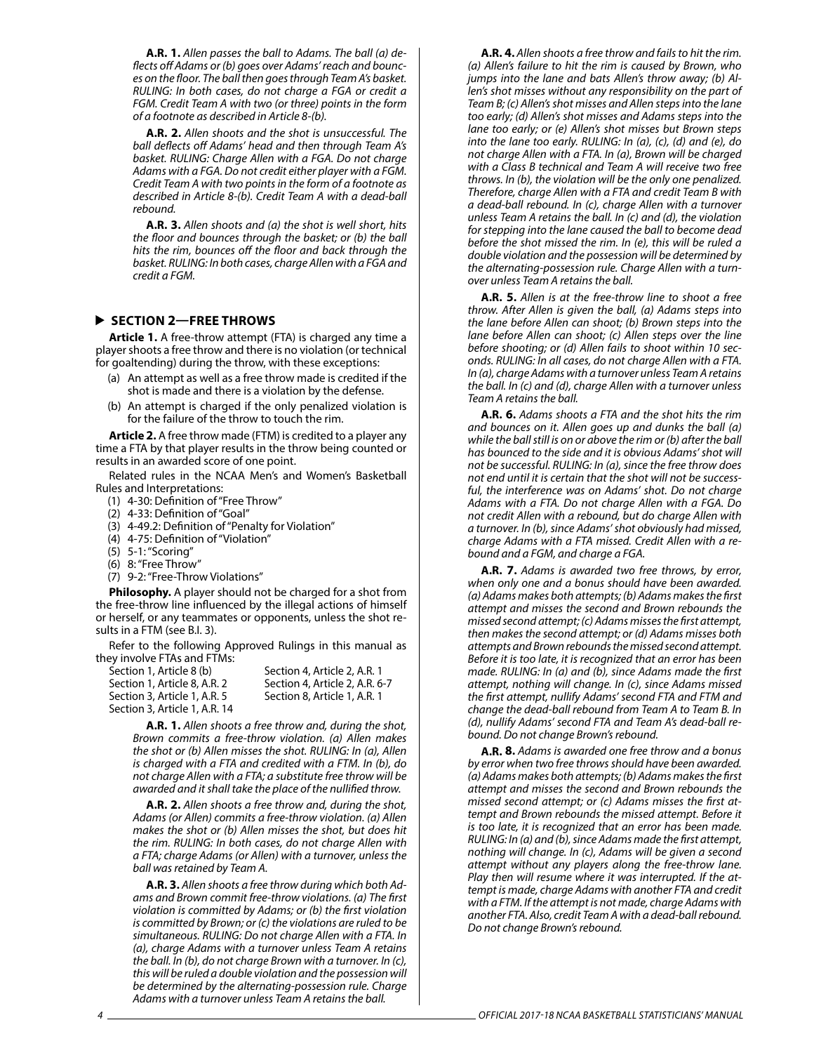**A.R. 1.** *Allen passes the ball to Adams. The ball (a) deflects off Adams or (b) goes over Adams' reach and bounces on the floor. The ball then goes through Team A's basket. RULING: In both cases, do not charge a FGA or credit a FGM. Credit Team A with two (or three) points in the form of a footnote as described in Article 8-(b).*

**A.R. 2.** *Allen shoots and the shot is unsuccessful. The ball deflects off Adams' head and then through Team A's basket. RULING: Charge Allen with a FGA. Do not charge Adams with a FGA. Do not credit either player with a FGM. Credit Team A with two points in the form of a footnote as described in Article 8-(b). Credit Team A with a dead-ball rebound.*

**A.R. 3.** *Allen shoots and (a) the shot is well short, hits the floor and bounces through the basket; or (b) the ball hits the rim, bounces off the floor and back through the basket. RULING: In both cases, charge Allen with a FGA and credit a FGM.*

#### **SECTION 2—FREE THROWS**

**Article 1.** A free-throw attempt (FTA) is charged any time a player shoots a free throw and there is no violation (or technical for goaltending) during the throw, with these exceptions:

- (a) An attempt as well as a free throw made is credited if the shot is made and there is a violation by the defense.
- (b) An attempt is charged if the only penalized violation is for the failure of the throw to touch the rim.

**Article 2.** A free throw made (FTM) is credited to a player any time a FTA by that player results in the throw being counted or results in an awarded score of one point.

Related rules in the NCAA Men's and Women's Basketball Rules and Interpretations:

- (1) 4-30: Definition of "Free Throw"
- (2) 4-33: Definition of "Goal"
- (3) 4-49.2: Definition of "Penalty for Violation"
- (4) 4-75: Definition of "Violation"
- (5) 5-1: "Scoring"
- (6) 8: "Free Throw"
- (7) 9-2: "Free-Throw Violations"

**Philosophy.** A player should not be charged for a shot from the free-throw line influenced by the illegal actions of himself or herself, or any teammates or opponents, unless the shot results in a FTM (see B.I. 3).

Refer to the following Approved Rulings in this manual as they involve FTAs and FTMs:

| Section 1. Article 8 (b)      | Section 4, Article 2, A.R. 1   |
|-------------------------------|--------------------------------|
| Section 1. Article 8. A.R. 2  | Section 4, Article 2, A.R. 6-7 |
| Section 3. Article 1. A.R. 5  | Section 8. Article 1. A.R. 1   |
| Section 3. Article 1. A.R. 14 |                                |

**A.R. 1.** *Allen shoots a free throw and, during the shot, Brown commits a free-throw violation. (a) Allen makes the shot or (b) Allen misses the shot. RULING: In (a), Allen is charged with a FTA and credited with a FTM. In (b), do not charge Allen with a FTA; a substitute free throw will be awarded and it shall take the place of the nullified throw.*

**A.R. 2.** *Allen shoots a free throw and, during the shot, Adams (or Allen) commits a free-throw violation. (a) Allen makes the shot or (b) Allen misses the shot, but does hit the rim. RULING: In both cases, do not charge Allen with a FTA; charge Adams (or Allen) with a turnover, unless the ball was retained by Team A.*

**A.R. 3.** *Allen shoots a free throw during which both Adams and Brown commit free-throw violations. (a) The first violation is committed by Adams; or (b) the first violation is committed by Brown; or (c) the violations are ruled to be simultaneous. RULING: Do not charge Allen with a FTA. In (a), charge Adams with a turnover unless Team A retains the ball. In (b), do not charge Brown with a turnover. In (c), this will be ruled a double violation and the possession will be determined by the alternating-possession rule. Charge Adams with a turnover unless Team A retains the ball.*

**A.R. 4.** *Allen shoots a free throw and fails to hit the rim. (a) Allen's failure to hit the rim is caused by Brown, who jumps into the lane and bats Allen's throw away; (b) Allen's shot misses without any responsibility on the part of Team B; (c) Allen's shot misses and Allen steps into the lane too early; (d) Allen's shot misses and Adams steps into the lane too early; or (e) Allen's shot misses but Brown steps into the lane too early. RULING: In (a), (c), (d) and (e), do not charge Allen with a FTA. In (a), Brown will be charged with a Class B technical and Team A will receive two free throws. In (b), the violation will be the only one penalized. Therefore, charge Allen with a FTA and credit Team B with a dead-ball rebound. In (c), charge Allen with a turnover unless Team A retains the ball. In (c) and (d), the violation for stepping into the lane caused the ball to become dead before the shot missed the rim. In (e), this will be ruled a double violation and the possession will be determined by the alternating-possession rule. Charge Allen with a turnover unless Team A retains the ball.*

**A.R. 5.** *Allen is at the free-throw line to shoot a free throw. After Allen is given the ball, (a) Adams steps into the lane before Allen can shoot; (b) Brown steps into the lane before Allen can shoot; (c) Allen steps over the line before shooting; or (d) Allen fails to shoot within 10 seconds. RULING: In all cases, do not charge Allen with a FTA. In (a), charge Adams with a turnover unless Team A retains the ball. In (c) and (d), charge Allen with a turnover unless Team A retains the ball.*

**A.R. 6.** *Adams shoots a FTA and the shot hits the rim and bounces on it. Allen goes up and dunks the ball (a) while the ball still is on or above the rim or (b) after the ball has bounced to the side and it is obvious Adams' shot will not be successful. RULING: In (a), since the free throw does not end until it is certain that the shot will not be successful, the interference was on Adams' shot. Do not charge Adams with a FTA. Do not charge Allen with a FGA. Do not credit Allen with a rebound, but do charge Allen with a turnover. In (b), since Adams' shot obviously had missed, charge Adams with a FTA missed. Credit Allen with a rebound and a FGM, and charge a FGA.*

**A.R. 7.** *Adams is awarded two free throws, by error, when only one and a bonus should have been awarded. (a) Adams makes both attempts; (b) Adams makes the first attempt and misses the second and Brown rebounds the missed second attempt; (c) Adams misses the first attempt, then makes the second attempt; or (d) Adams misses both attempts and Brown rebounds the missed second attempt. Before it is too late, it is recognized that an error has been made. RULING: In (a) and (b), since Adams made the first attempt, nothing will change. In (c), since Adams missed the first attempt, nullify Adams' second FTA and FTM and change the dead-ball rebound from Team A to Team B. In (d), nullify Adams' second FTA and Team A's dead-ball rebound. Do not change Brown's rebound.*

**A.R. 8.** *Adams is awarded one free throw and a bonus by error when two free throws should have been awarded. (a) Adams makes both attempts; (b) Adams makes the first attempt and misses the second and Brown rebounds the missed second attempt; or (c) Adams misses the first attempt and Brown rebounds the missed attempt. Before it is too late, it is recognized that an error has been made. RULING: In (a) and (b), since Adams made the first attempt, nothing will change. In (c), Adams will be given a second attempt without any players along the free-throw lane. Play then will resume where it was interrupted. If the attempt is made, charge Adams with another FTA and credit with a FTM. If the attempt is not made, charge Adams with another FTA. Also, credit Team A with a dead-ball rebound. Do not change Brown's rebound.*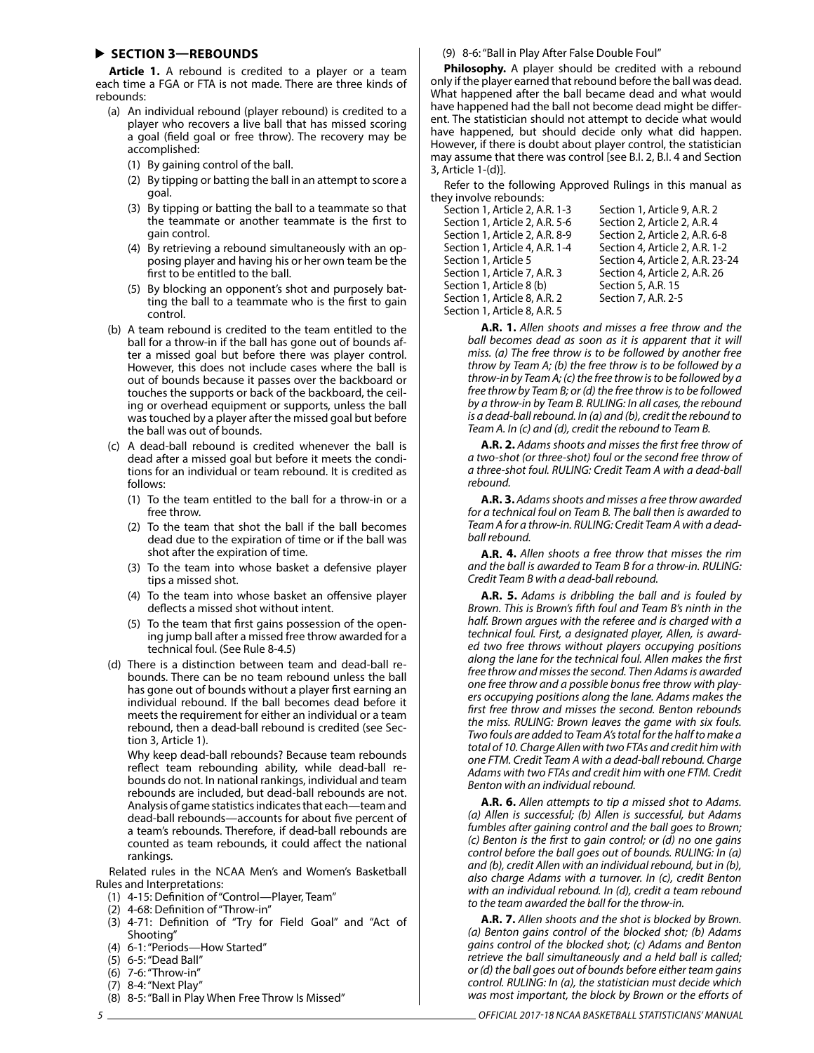#### **SECTION 3—REBOUNDS**

**Article 1.** A rebound is credited to a player or a team each time a FGA or FTA is not made. There are three kinds of rebounds:

- (a) An individual rebound (player rebound) is credited to a player who recovers a live ball that has missed scoring a goal (field goal or free throw). The recovery may be accomplished:
	- (1) By gaining control of the ball.
	- (2) By tipping or batting the ball in an attempt to score a goal.
	- (3) By tipping or batting the ball to a teammate so that the teammate or another teammate is the first to gain control.
	- (4) By retrieving a rebound simultaneously with an opposing player and having his or her own team be the first to be entitled to the ball.
	- (5) By blocking an opponent's shot and purposely batting the ball to a teammate who is the first to gain control.
- (b) A team rebound is credited to the team entitled to the ball for a throw-in if the ball has gone out of bounds after a missed goal but before there was player control. However, this does not include cases where the ball is out of bounds because it passes over the backboard or touches the supports or back of the backboard, the ceiling or overhead equipment or supports, unless the ball was touched by a player after the missed goal but before the ball was out of bounds.
- (c) A dead-ball rebound is credited whenever the ball is dead after a missed goal but before it meets the conditions for an individual or team rebound. It is credited as follows:
	- (1) To the team entitled to the ball for a throw-in or a free throw.
	- (2) To the team that shot the ball if the ball becomes dead due to the expiration of time or if the ball was shot after the expiration of time.
	- (3) To the team into whose basket a defensive player tips a missed shot.
	- (4) To the team into whose basket an offensive player deflects a missed shot without intent.
	- (5) To the team that first gains possession of the opening jump ball after a missed free throw awarded for a technical foul. (See Rule 8-4.5)
- (d) There is a distinction between team and dead-ball rebounds. There can be no team rebound unless the ball has gone out of bounds without a player first earning an individual rebound. If the ball becomes dead before it meets the requirement for either an individual or a team rebound, then a dead-ball rebound is credited (see Section 3, Article 1).

Why keep dead-ball rebounds? Because team rebounds reflect team rebounding ability, while dead-ball rebounds do not. In national rankings, individual and team rebounds are included, but dead-ball rebounds are not. Analysis of game statistics indicates that each—team and dead-ball rebounds—accounts for about five percent of a team's rebounds. Therefore, if dead-ball rebounds are counted as team rebounds, it could affect the national rankings.

Related rules in the NCAA Men's and Women's Basketball Rules and Interpretations:

- (1) 4-15: Definition of "Control—Player, Team"
- (2) 4-68: Definition of "Throw-in"
- (3) 4-71: Definition of "Try for Field Goal" and "Act of Shooting"
- (4) 6-1: "Periods—How Started"
- (5) 6-5: "Dead Ball" (6) 7-6: "Throw-in"
- 
- (7) 8-4: "Next Play"
- (8) 8-5: "Ball in Play When Free Throw Is Missed"

#### (9) 8-6: "Ball in Play After False Double Foul"

**Philosophy.** A player should be credited with a rebound only if the player earned that rebound before the ball was dead. What happened after the ball became dead and what would have happened had the ball not become dead might be different. The statistician should not attempt to decide what would have happened, but should decide only what did happen. However, if there is doubt about player control, the statistician may assume that there was control [see B.I. 2, B.I. 4 and Section 3, Article 1-(d)].

Refer to the following Approved Rulings in this manual as they involve rebounds:

Section 1, Article 2, A.R. 1-3 Section 1, Article 9, A.R. 2 Section 1, Article 2, A.R. 5-6 Section 2, Article 2, A.R. 4 Section 1, Article 2, A.R. 8-9 Section 2, Article 2, A.R. 6-8 Section 1, Article 4, A.R. 1-4 Section 4, Article 2, A.R. 1-2 Section 1, Article 7, A.R. 3 Section 4, Article 2, A.R. 26<br>Section 1, Article 8 (b) Section 5, A.R. 15 Section 1, Article 8 (b) Section 1, Article 8, A.R. 2 Section 7, A.R. 2-5 Section 1, Article 8, A.R. 5

Section 1, Article 5 Section 4, Article 2, A.R. 23-24

**A.R. 1.** *Allen shoots and misses a free throw and the ball becomes dead as soon as it is apparent that it will miss. (a) The free throw is to be followed by another free throw by Team A; (b) the free throw is to be followed by a throw-in by Team A; (c) the free throw is to be followed by a free throw by Team B; or (d) the free throw is to be followed by a throw-in by Team B. RULING: In all cases, the rebound is a dead-ball rebound. In (a) and (b), credit the rebound to Team A. In (c) and (d), credit the rebound to Team B.*

**A.R. 2.** *Adams shoots and misses the first free throw of a two-shot (or three-shot) foul or the second free throw of a three-shot foul. RULING: Credit Team A with a dead-ball rebound.*

**A.R. 3.** *Adams shoots and misses a free throw awarded for a technical foul on Team B. The ball then is awarded to Team A for a throw-in. RULING: Credit Team A with a deadball rebound.*

**A.R. 4.** *Allen shoots a free throw that misses the rim and the ball is awarded to Team B for a throw-in. RULING: Credit Team B with a dead-ball rebound.*

**A.R. 5.** *Adams is dribbling the ball and is fouled by Brown. This is Brown's fifth foul and Team B's ninth in the half. Brown argues with the referee and is charged with a technical foul. First, a designated player, Allen, is awarded two free throws without players occupying positions along the lane for the technical foul. Allen makes the first free throw and misses the second. Then Adams is awarded one free throw and a possible bonus free throw with players occupying positions along the lane. Adams makes the first free throw and misses the second. Benton rebounds the miss. RULING: Brown leaves the game with six fouls. Two fouls are added to Team A's total for the half to make a total of 10. Charge Allen with two FTAs and credit him with one FTM. Credit Team A with a dead-ball rebound. Charge Adams with two FTAs and credit him with one FTM. Credit Benton with an individual rebound.*

**A.R. 6.** *Allen attempts to tip a missed shot to Adams. (a) Allen is successful; (b) Allen is successful, but Adams fumbles after gaining control and the ball goes to Brown; (c) Benton is the first to gain control; or (d) no one gains control before the ball goes out of bounds. RULING: In (a) and (b), credit Allen with an individual rebound, but in (b), also charge Adams with a turnover. In (c), credit Benton with an individual rebound. In (d), credit a team rebound to the team awarded the ball for the throw-in.*

**A.R. 7.** *Allen shoots and the shot is blocked by Brown. (a) Benton gains control of the blocked shot; (b) Adams gains control of the blocked shot; (c) Adams and Benton retrieve the ball simultaneously and a held ball is called; or (d) the ball goes out of bounds before either team gains control. RULING: In (a), the statistician must decide which was most important, the block by Brown or the efforts of*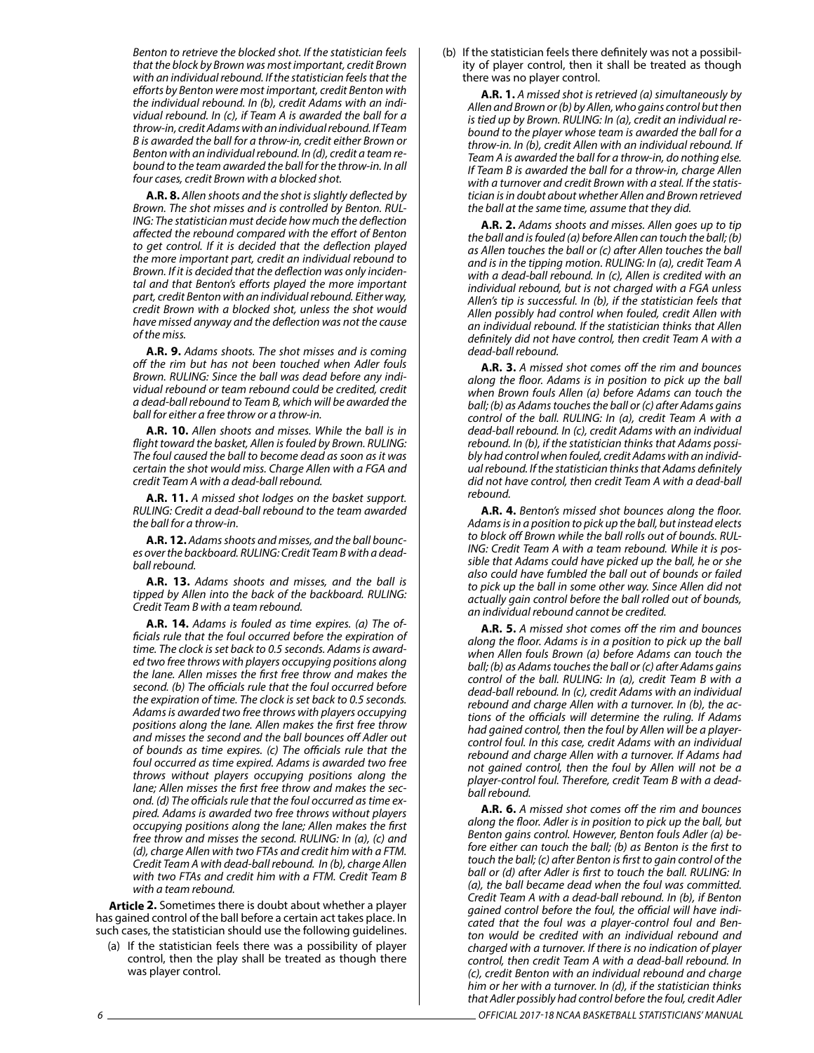*Benton to retrieve the blocked shot. If the statistician feels that the block by Brown was most important, credit Brown with an individual rebound. If the statistician feels that the efforts by Benton were most important, credit Benton with the individual rebound. In (b), credit Adams with an individual rebound. In (c), if Team A is awarded the ball for a throw-in, credit Adams with an individual rebound. If Team B is awarded the ball for a throw-in, credit either Brown or Benton with an individual rebound. In (d), credit a team rebound to the team awarded the ball for the throw-in. In all four cases, credit Brown with a blocked shot.*

**A.R. 8.** *Allen shoots and the shot is slightly deflected by Brown. The shot misses and is controlled by Benton. RUL-ING: The statistician must decide how much the deflection affected the rebound compared with the effort of Benton to get control. If it is decided that the deflection played the more important part, credit an individual rebound to Brown. If it is decided that the deflection was only incidental and that Benton's efforts played the more important part, credit Benton with an individual rebound. Either way, credit Brown with a blocked shot, unless the shot would have missed anyway and the deflection was not the cause of the miss.*

**A.R. 9.** *Adams shoots. The shot misses and is coming off the rim but has not been touched when Adler fouls Brown. RULING: Since the ball was dead before any individual rebound or team rebound could be credited, credit a dead-ball rebound to Team B, which will be awarded the ball for either a free throw or a throw-in.*

**A.R. 10.** *Allen shoots and misses. While the ball is in flight toward the basket, Allen is fouled by Brown. RULING: The foul caused the ball to become dead as soon as it was certain the shot would miss. Charge Allen with a FGA and credit Team A with a dead-ball rebound.*

**A.R. 11.** *A missed shot lodges on the basket support. RULING: Credit a dead-ball rebound to the team awarded the ball for a throw-in.*

**A.R. 12.** *Adams shoots and misses, and the ball bounces over the backboard. RULING: Credit Team B with a deadball rebound.*

**A.R. 13.** *Adams shoots and misses, and the ball is tipped by Allen into the back of the backboard. RULING: Credit Team B with a team rebound.*

**A.R. 14.** *Adams is fouled as time expires. (a) The officials rule that the foul occurred before the expiration of time. The clock is set back to 0.5 seconds. Adams is awarded two free throws with players occupying positions along the lane. Allen misses the first free throw and makes the second. (b) The officials rule that the foul occurred before the expiration of time. The clock is set back to 0.5 seconds. Adams is awarded two free throws with players occupying positions along the lane. Allen makes the first free throw and misses the second and the ball bounces off Adler out of bounds as time expires. (c) The officials rule that the foul occurred as time expired. Adams is awarded two free throws without players occupying positions along the lane; Allen misses the first free throw and makes the second. (d) The officials rule that the foul occurred as time expired. Adams is awarded two free throws without players occupying positions along the lane; Allen makes the first free throw and misses the second. RULING: In (a), (c) and (d), charge Allen with two FTAs and credit him with a FTM. Credit Team A with dead-ball rebound. In (b), charge Allen with two FTAs and credit him with a FTM. Credit Team B with a team rebound.*

**Article 2.** Sometimes there is doubt about whether a player has gained control of the ball before a certain act takes place. In such cases, the statistician should use the following guidelines.

(a) If the statistician feels there was a possibility of player control, then the play shall be treated as though there was player control.

(b) If the statistician feels there definitely was not a possibility of player control, then it shall be treated as though there was no player control.

**A.R. 1.** *A missed shot is retrieved (a) simultaneously by Allen and Brown or (b) by Allen, who gains control but then is tied up by Brown. RULING: In (a), credit an individual rebound to the player whose team is awarded the ball for a throw-in. In (b), credit Allen with an individual rebound. If Team A is awarded the ball for a throw-in, do nothing else. If Team B is awarded the ball for a throw-in, charge Allen with a turnover and credit Brown with a steal. If the statistician is in doubt about whether Allen and Brown retrieved the ball at the same time, assume that they did.*

**A.R. 2.** *Adams shoots and misses. Allen goes up to tip the ball and is fouled (a) before Allen can touch the ball; (b) as Allen touches the ball or (c) after Allen touches the ball and is in the tipping motion. RULING: In (a), credit Team A with a dead-ball rebound. In (c), Allen is credited with an individual rebound, but is not charged with a FGA unless Allen's tip is successful. In (b), if the statistician feels that Allen possibly had control when fouled, credit Allen with an individual rebound. If the statistician thinks that Allen definitely did not have control, then credit Team A with a dead-ball rebound.*

**A.R. 3.** *A missed shot comes off the rim and bounces along the floor. Adams is in position to pick up the ball when Brown fouls Allen (a) before Adams can touch the ball; (b) as Adams touches the ball or (c) after Adams gains control of the ball. RULING: In (a), credit Team A with a dead-ball rebound. In (c), credit Adams with an individual rebound. In (b), if the statistician thinks that Adams possibly had control when fouled, credit Adams with an individual rebound. If the statistician thinks that Adams definitely did not have control, then credit Team A with a dead-ball rebound.*

**A.R. 4.** *Benton's missed shot bounces along the floor. Adams is in a position to pick up the ball, but instead elects to block off Brown while the ball rolls out of bounds. RUL-ING: Credit Team A with a team rebound. While it is possible that Adams could have picked up the ball, he or she also could have fumbled the ball out of bounds or failed to pick up the ball in some other way. Since Allen did not actually gain control before the ball rolled out of bounds, an individual rebound cannot be credited.*

**A.R. 5.** *A missed shot comes off the rim and bounces along the floor. Adams is in a position to pick up the ball when Allen fouls Brown (a) before Adams can touch the ball; (b) as Adams touches the ball or (c) after Adams gains control of the ball. RULING: In (a), credit Team B with a dead-ball rebound. In (c), credit Adams with an individual rebound and charge Allen with a turnover. In (b), the actions of the officials will determine the ruling. If Adams had gained control, then the foul by Allen will be a playercontrol foul. In this case, credit Adams with an individual rebound and charge Allen with a turnover. If Adams had not gained control, then the foul by Allen will not be a player-control foul. Therefore, credit Team B with a deadball rebound.*

*6 OFFICIAL 2017-18 NCAA BASKETBALL STATISTICIANS' MANUAL* **A.R. 6.** *A missed shot comes off the rim and bounces along the floor. Adler is in position to pick up the ball, but Benton gains control. However, Benton fouls Adler (a) before either can touch the ball; (b) as Benton is the first to touch the ball; (c) after Benton is first to gain control of the ball or (d) after Adler is first to touch the ball. RULING: In (a), the ball became dead when the foul was committed. Credit Team A with a dead-ball rebound. In (b), if Benton gained control before the foul, the official will have indicated that the foul was a player-control foul and Benton would be credited with an individual rebound and charged with a turnover. If there is no indication of player control, then credit Team A with a dead-ball rebound. In (c), credit Benton with an individual rebound and charge him or her with a turnover. In (d), if the statistician thinks that Adler possibly had control before the foul, credit Adler*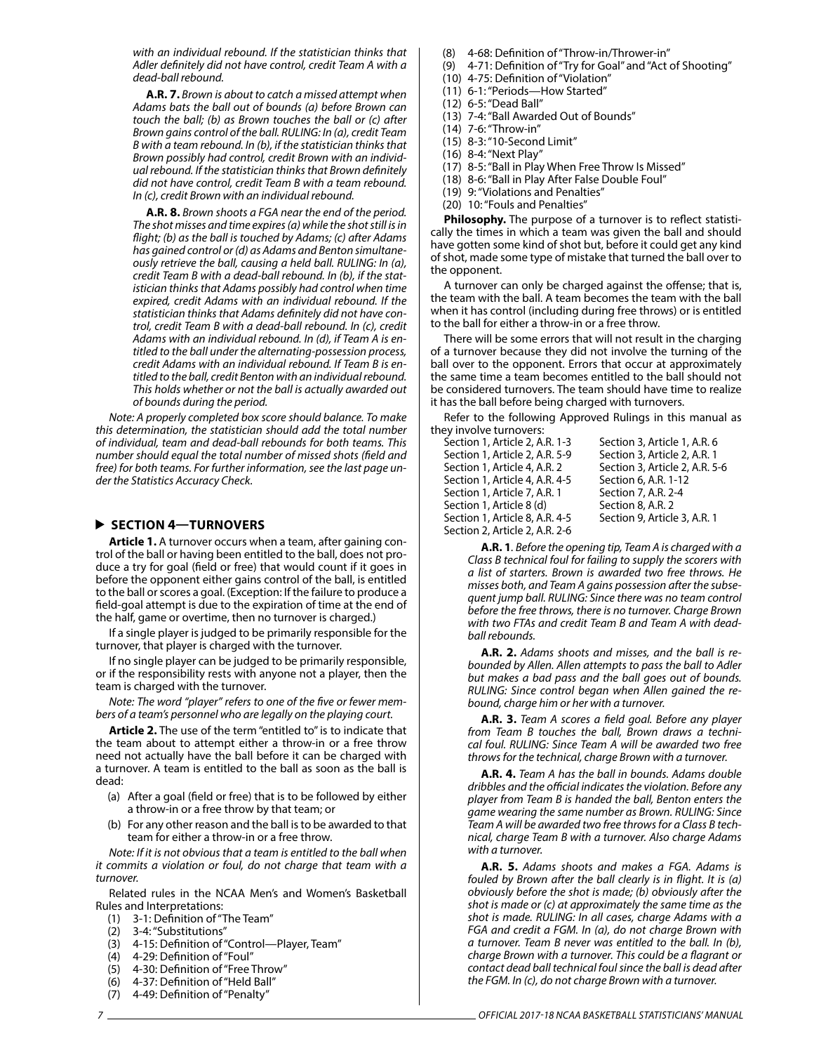*with an individual rebound. If the statistician thinks that Adler definitely did not have control, credit Team A with a dead-ball rebound.*

**A.R. 7.** *Brown is about to catch a missed attempt when Adams bats the ball out of bounds (a) before Brown can touch the ball; (b) as Brown touches the ball or (c) after Brown gains control of the ball. RULING: In (a), credit Team B with a team rebound. In (b), if the statistician thinks that Brown possibly had control, credit Brown with an individual rebound. If the statistician thinks that Brown definitely did not have control, credit Team B with a team rebound. In (c), credit Brown with an individual rebound.*

**A.R. 8.** *Brown shoots a FGA near the end of the period. The shot misses and time expires (a) while the shot still is in flight; (b) as the ball is touched by Adams; (c) after Adams has gained control or (d) as Adams and Benton simultaneously retrieve the ball, causing a held ball. RULING: In (a), credit Team B with a dead-ball rebound. In (b), if the statistician thinks that Adams possibly had control when time expired, credit Adams with an individual rebound. If the statistician thinks that Adams definitely did not have control, credit Team B with a dead-ball rebound. In (c), credit Adams with an individual rebound. In (d), if Team A is entitled to the ball under the alternating-possession process, credit Adams with an individual rebound. If Team B is entitled to the ball, credit Benton with an individual rebound. This holds whether or not the ball is actually awarded out of bounds during the period.*

*Note: A properly completed box score should balance. To make this determination, the statistician should add the total number of individual, team and dead-ball rebounds for both teams. This number should equal the total number of missed shots (field and free) for both teams. For further information, see the last page under the Statistics Accuracy Check.*

#### **SECTION 4—TURNOVERS**

**Article 1.** A turnover occurs when a team, after gaining control of the ball or having been entitled to the ball, does not produce a try for goal (field or free) that would count if it goes in before the opponent either gains control of the ball, is entitled to the ball or scores a goal. (Exception: If the failure to produce a field-goal attempt is due to the expiration of time at the end of the half, game or overtime, then no turnover is charged.)

If a single player is judged to be primarily responsible for the turnover, that player is charged with the turnover.

If no single player can be judged to be primarily responsible, or if the responsibility rests with anyone not a player, then the team is charged with the turnover.

*Note: The word "player" refers to one of the five or fewer members of a team's personnel who are legally on the playing court.*

**Article 2.** The use of the term "entitled to" is to indicate that the team about to attempt either a throw-in or a free throw need not actually have the ball before it can be charged with a turnover. A team is entitled to the ball as soon as the ball is dead:

- (a) After a goal (field or free) that is to be followed by either a throw-in or a free throw by that team; or
- (b) For any other reason and the ball is to be awarded to that team for either a throw-in or a free throw.

*Note: If it is not obvious that a team is entitled to the ball when it commits a violation or foul, do not charge that team with a turnover.*

Related rules in the NCAA Men's and Women's Basketball Rules and Interpretations:

- (1) 3-1: Definition of "The Team"
- (2) 3-4: "Substitutions"
- (3) 4-15: Definition of "Control—Player, Team"
- (4) 4-29: Definition of "Foul"
- (5) 4-30: Definition of "Free Throw"
- (6) 4-37: Definition of "Held Ball"
- (7) 4-49: Definition of "Penalty"

(8) 4-68: Definition of "Throw-in/Thrower-in"

- (9) 4-71: Definition of "Try for Goal" and "Act of Shooting"
- (10) 4-75: Definition of "Violation"
- (11) 6-1: "Periods—How Started"
- (12) 6-5: "Dead Ball"
- (13) 7-4: "Ball Awarded Out of Bounds"
- (14) 7-6: "Throw-in"
- (15) 8-3: "10-Second Limit"
- (16) 8-4: "Next Play"
- (17) 8-5: "Ball in Play When Free Throw Is Missed"
- (18) 8-6: "Ball in Play After False Double Foul"
- (19) 9: "Violations and Penalties"
- (20) 10: "Fouls and Penalties"

**Philosophy.** The purpose of a turnover is to reflect statistically the times in which a team was given the ball and should have gotten some kind of shot but, before it could get any kind of shot, made some type of mistake that turned the ball over to the opponent.

A turnover can only be charged against the offense; that is, the team with the ball. A team becomes the team with the ball when it has control (including during free throws) or is entitled to the ball for either a throw-in or a free throw.

There will be some errors that will not result in the charging of a turnover because they did not involve the turning of the ball over to the opponent. Errors that occur at approximately the same time a team becomes entitled to the ball should not be considered turnovers. The team should have time to realize it has the ball before being charged with turnovers.

Refer to the following Approved Rulings in this manual as they involve turnovers:

| Section 1, Article 2, A.R. 1-3 | Section 3, Article 1, A.R. 6   |
|--------------------------------|--------------------------------|
| Section 1, Article 2, A.R. 5-9 | Section 3, Article 2, A.R. 1   |
| Section 1, Article 4, A.R. 2   | Section 3, Article 2, A.R. 5-6 |
| Section 1. Article 4. A.R. 4-5 | Section 6, A.R. 1-12           |
| Section 1. Article 7. A.R. 1   | Section 7, A.R. 2-4            |
| Section 1, Article 8 (d)       | Section 8, A.R. 2              |
| Section 1, Article 8, A.R. 4-5 | Section 9, Article 3, A.R. 1   |
| Section 2, Article 2, A.R. 2-6 |                                |
|                                |                                |

**A.R. 1***. Before the opening tip, Team A is charged with a Class B technical foul for failing to supply the scorers with a list of starters. Brown is awarded two free throws. He misses both, and Team A gains possession after the subsequent jump ball. RULING: Since there was no team control before the free throws, there is no turnover. Charge Brown with two FTAs and credit Team B and Team A with deadball rebounds.*

**A.R. 2.** *Adams shoots and misses, and the ball is rebounded by Allen. Allen attempts to pass the ball to Adler but makes a bad pass and the ball goes out of bounds. RULING: Since control began when Allen gained the rebound, charge him or her with a turnover.*

**A.R. 3.** *Team A scores a field goal. Before any player from Team B touches the ball, Brown draws a technical foul. RULING: Since Team A will be awarded two free throws for the technical, charge Brown with a turnover.*

**A.R. 4.** *Team A has the ball in bounds. Adams double dribbles and the official indicates the violation. Before any player from Team B is handed the ball, Benton enters the game wearing the same number as Brown. RULING: Since Team A will be awarded two free throws for a Class B technical, charge Team B with a turnover. Also charge Adams with a turnover.*

**A.R. 5.** *Adams shoots and makes a FGA. Adams is fouled by Brown after the ball clearly is in flight. It is (a) obviously before the shot is made; (b) obviously after the shot is made or (c) at approximately the same time as the shot is made. RULING: In all cases, charge Adams with a FGA and credit a FGM. In (a), do not charge Brown with a turnover. Team B never was entitled to the ball. In (b), charge Brown with a turnover. This could be a flagrant or contact dead ball technical foul since the ball is dead after the FGM. In (c), do not charge Brown with a turnover.*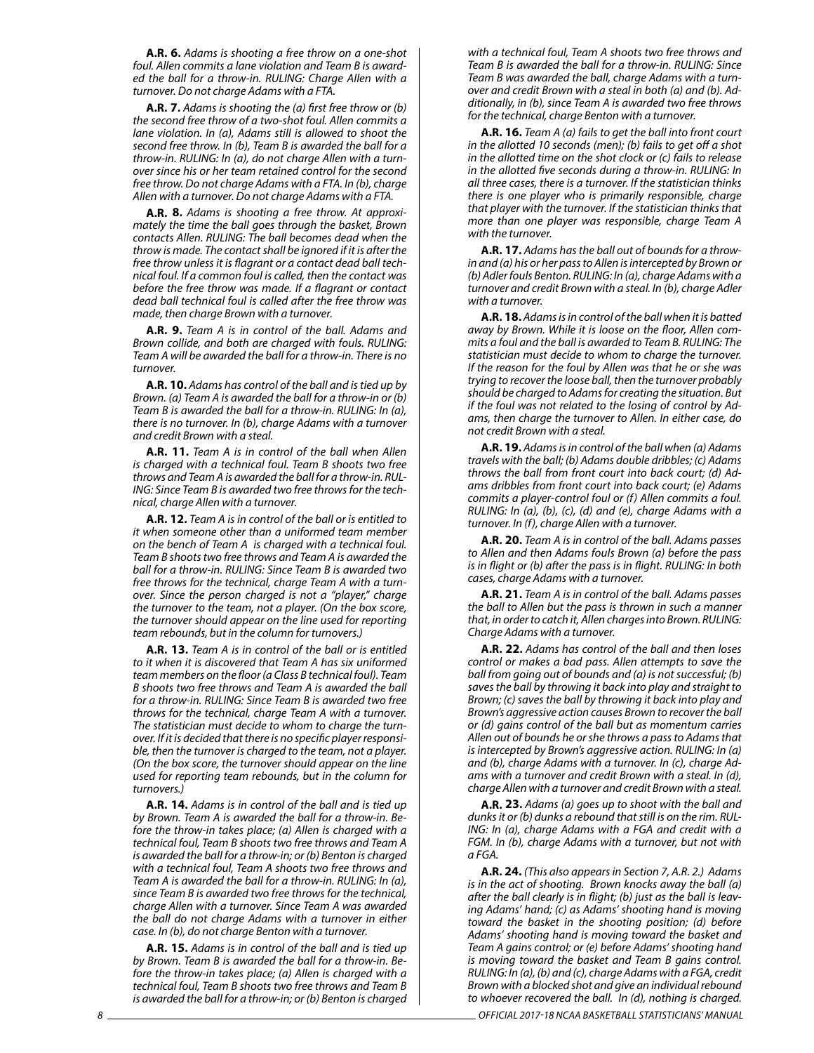**A.R. 6.** *Adams is shooting a free throw on a one-shot foul. Allen commits a lane violation and Team B is awarded the ball for a throw-in. RULING: Charge Allen with a turnover. Do not charge Adams with a FTA.*

**A.R. 7.** *Adams is shooting the (a) first free throw or (b) the second free throw of a two-shot foul. Allen commits a lane violation. In (a), Adams still is allowed to shoot the second free throw. In (b), Team B is awarded the ball for a throw-in. RULING: In (a), do not charge Allen with a turnover since his or her team retained control for the second free throw. Do not charge Adams with a FTA. In (b), charge Allen with a turnover. Do not charge Adams with a FTA.*

**A.R. 8.** *Adams is shooting a free throw. At approximately the time the ball goes through the basket, Brown contacts Allen. RULING: The ball becomes dead when the throw is made. The contact shall be ignored if it is after the free throw unless it is flagrant or a contact dead ball technical foul. If a common foul is called, then the contact was before the free throw was made. If a flagrant or contact dead ball technical foul is called after the free throw was made, then charge Brown with a turnover.*

**A.R. 9.** *Team A is in control of the ball. Adams and Brown collide, and both are charged with fouls. RULING: Team A will be awarded the ball for a throw-in. There is no turnover.*

**A.R. 10.** *Adams has control of the ball and is tied up by Brown. (a) Team A is awarded the ball for a throw-in or (b) Team B is awarded the ball for a throw-in. RULING: In (a), there is no turnover. In (b), charge Adams with a turnover and credit Brown with a steal.*

**A.R. 11.** *Team A is in control of the ball when Allen is charged with a technical foul. Team B shoots two free throws and Team A is awarded the ball for a throw-in. RUL-ING: Since Team B is awarded two free throws for the technical, charge Allen with a turnover.*

**A.R. 12.** *Team A is in control of the ball or is entitled to it when someone other than a uniformed team member on the bench of Team A is charged with a technical foul. Team B shoots two free throws and Team A is awarded the ball for a throw-in. RULING: Since Team B is awarded two free throws for the technical, charge Team A with a turnover. Since the person charged is not a "player," charge the turnover to the team, not a player. (On the box score, the turnover should appear on the line used for reporting team rebounds, but in the column for turnovers.)*

**A.R. 13.** *Team A is in control of the ball or is entitled to it when it is discovered that Team A has six uniformed team members on the floor (a Class B technical foul). Team B shoots two free throws and Team A is awarded the ball for a throw-in. RULING: Since Team B is awarded two free throws for the technical, charge Team A with a turnover. The statistician must decide to whom to charge the turnover. If it is decided that there is no specific player responsible, then the turnover is charged to the team, not a player. (On the box score, the turnover should appear on the line used for reporting team rebounds, but in the column for turnovers.)*

**A.R. 14.** *Adams is in control of the ball and is tied up by Brown. Team A is awarded the ball for a throw-in. Before the throw-in takes place; (a) Allen is charged with a technical foul, Team B shoots two free throws and Team A is awarded the ball for a throw-in; or (b) Benton is charged with a technical foul, Team A shoots two free throws and Team A is awarded the ball for a throw-in. RULING: In (a), since Team B is awarded two free throws for the technical, charge Allen with a turnover. Since Team A was awarded the ball do not charge Adams with a turnover in either case. In (b), do not charge Benton with a turnover.*

**A.R. 15.** *Adams is in control of the ball and is tied up by Brown. Team B is awarded the ball for a throw-in. Before the throw-in takes place; (a) Allen is charged with a technical foul, Team B shoots two free throws and Team B is awarded the ball for a throw-in; or (b) Benton is charged*  *with a technical foul, Team A shoots two free throws and Team B is awarded the ball for a throw-in. RULING: Since Team B was awarded the ball, charge Adams with a turnover and credit Brown with a steal in both (a) and (b). Additionally, in (b), since Team A is awarded two free throws for the technical, charge Benton with a turnover.*

**A.R. 16.** *Team A (a) fails to get the ball into front court in the allotted 10 seconds (men); (b) fails to get off a shot in the allotted time on the shot clock or (c) fails to release in the allotted five seconds during a throw-in. RULING: In all three cases, there is a turnover. If the statistician thinks there is one player who is primarily responsible, charge that player with the turnover. If the statistician thinks that more than one player was responsible, charge Team A with the turnover.*

**A.R. 17.** *Adams has the ball out of bounds for a throwin and (a) his or her pass to Allen is intercepted by Brown or (b) Adler fouls Benton. RULING: In (a), charge Adams with a turnover and credit Brown with a steal. In (b), charge Adler with a turnover.*

**A.R. 18.** *Adams is in control of the ball when it is batted away by Brown. While it is loose on the floor, Allen commits a foul and the ball is awarded to Team B. RULING: The statistician must decide to whom to charge the turnover. If the reason for the foul by Allen was that he or she was trying to recover the loose ball, then the turnover probably should be charged to Adams for creating the situation. But if the foul was not related to the losing of control by Adams, then charge the turnover to Allen. In either case, do not credit Brown with a steal.*

**A.R. 19.** *Adams is in control of the ball when (a) Adams travels with the ball; (b) Adams double dribbles; (c) Adams throws the ball from front court into back court; (d) Adams dribbles from front court into back court; (e) Adams commits a player-control foul or (f) Allen commits a foul. RULING: In (a), (b), (c), (d) and (e), charge Adams with a turnover. In (f), charge Allen with a turnover.*

**A.R. 20.** *Team A is in control of the ball. Adams passes to Allen and then Adams fouls Brown (a) before the pass is in flight or (b) after the pass is in flight. RULING: In both cases, charge Adams with a turnover.*

**A.R. 21.** *Team A is in control of the ball. Adams passes the ball to Allen but the pass is thrown in such a manner that, in order to catch it, Allen charges into Brown. RULING: Charge Adams with a turnover.*

**A.R. 22.** *Adams has control of the ball and then loses control or makes a bad pass. Allen attempts to save the ball from going out of bounds and (a) is not successful; (b) saves the ball by throwing it back into play and straight to Brown; (c) saves the ball by throwing it back into play and Brown's aggressive action causes Brown to recover the ball or (d) gains control of the ball but as momentum carries Allen out of bounds he or she throws a pass to Adams that is intercepted by Brown's aggressive action. RULING: In (a) and (b), charge Adams with a turnover. In (c), charge Adams with a turnover and credit Brown with a steal. In (d), charge Allen with a turnover and credit Brown with a steal.*

**A.R. 23.** *Adams (a) goes up to shoot with the ball and dunks it or (b) dunks a rebound that still is on the rim. RUL-ING: In (a), charge Adams with a FGA and credit with a FGM. In (b), charge Adams with a turnover, but not with a FGA.*

**A.R. 24.** *(This also appears in Section 7, A.R. 2.) Adams is in the act of shooting. Brown knocks away the ball (a) after the ball clearly is in flight; (b) just as the ball is leaving Adams' hand; (c) as Adams' shooting hand is moving toward the basket in the shooting position; (d) before Adams' shooting hand is moving toward the basket and Team A gains control; or (e) before Adams' shooting hand is moving toward the basket and Team B gains control. RULING: In (a), (b) and (c), charge Adams with a FGA, credit Brown with a blocked shot and give an individual rebound to whoever recovered the ball. In (d), nothing is charged.* 

*8 OFFICIAL 2017-18 NCAA BASKETBALL STATISTICIANS' MANUAL*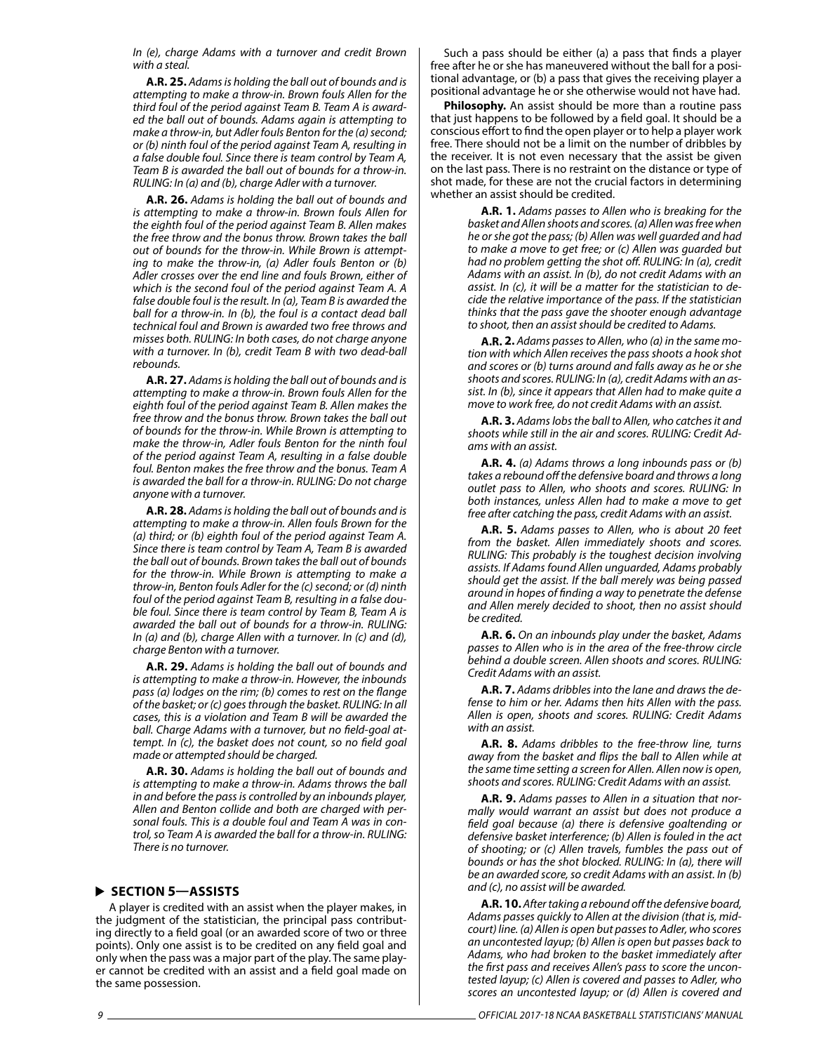*In (e), charge Adams with a turnover and credit Brown with a steal.*

**A.R. 25.** *Adams is holding the ball out of bounds and is attempting to make a throw-in. Brown fouls Allen for the third foul of the period against Team B. Team A is awarded the ball out of bounds. Adams again is attempting to make a throw-in, but Adler fouls Benton for the (a) second; or (b) ninth foul of the period against Team A, resulting in a false double foul. Since there is team control by Team A, Team B is awarded the ball out of bounds for a throw-in. RULING: In (a) and (b), charge Adler with a turnover.*

**A.R. 26.** *Adams is holding the ball out of bounds and is attempting to make a throw-in. Brown fouls Allen for the eighth foul of the period against Team B. Allen makes the free throw and the bonus throw. Brown takes the ball out of bounds for the throw-in. While Brown is attempting to make the throw-in, (a) Adler fouls Benton or (b) Adler crosses over the end line and fouls Brown, either of which is the second foul of the period against Team A. A false double foul is the result. In (a), Team B is awarded the ball for a throw-in. In (b), the foul is a contact dead ball technical foul and Brown is awarded two free throws and misses both. RULING: In both cases, do not charge anyone with a turnover. In (b), credit Team B with two dead-ball rebounds.*

**A.R. 27.** *Adams is holding the ball out of bounds and is attempting to make a throw-in. Brown fouls Allen for the eighth foul of the period against Team B. Allen makes the free throw and the bonus throw. Brown takes the ball out of bounds for the throw-in. While Brown is attempting to make the throw-in, Adler fouls Benton for the ninth foul of the period against Team A, resulting in a false double foul. Benton makes the free throw and the bonus. Team A is awarded the ball for a throw-in. RULING: Do not charge anyone with a turnover.*

**A.R. 28.** *Adams is holding the ball out of bounds and is attempting to make a throw-in. Allen fouls Brown for the (a) third; or (b) eighth foul of the period against Team A. Since there is team control by Team A, Team B is awarded the ball out of bounds. Brown takes the ball out of bounds for the throw-in. While Brown is attempting to make a throw-in, Benton fouls Adler for the (c) second; or (d) ninth foul of the period against Team B, resulting in a false double foul. Since there is team control by Team B, Team A is awarded the ball out of bounds for a throw-in. RULING: In (a) and (b), charge Allen with a turnover. In (c) and (d), charge Benton with a turnover.*

**A.R. 29.** *Adams is holding the ball out of bounds and is attempting to make a throw-in. However, the inbounds pass (a) lodges on the rim; (b) comes to rest on the flange of the basket; or (c) goes through the basket. RULING: In all cases, this is a violation and Team B will be awarded the ball. Charge Adams with a turnover, but no field-goal attempt. In (c), the basket does not count, so no field goal made or attempted should be charged.*

**A.R. 30.** *Adams is holding the ball out of bounds and is attempting to make a throw-in. Adams throws the ball in and before the pass is controlled by an inbounds player, Allen and Benton collide and both are charged with personal fouls. This is a double foul and Team A was in control, so Team A is awarded the ball for a throw-in. RULING: There is no turnover.*

#### **SECTION 5—ASSISTS**

A player is credited with an assist when the player makes, in the judgment of the statistician, the principal pass contributing directly to a field goal (or an awarded score of two or three points). Only one assist is to be credited on any field goal and only when the pass was a major part of the play. The same player cannot be credited with an assist and a field goal made on the same possession.

Such a pass should be either (a) a pass that finds a player free after he or she has maneuvered without the ball for a positional advantage, or (b) a pass that gives the receiving player a positional advantage he or she otherwise would not have had.

**Philosophy.** An assist should be more than a routine pass that just happens to be followed by a field goal. It should be a conscious effort to find the open player or to help a player work free. There should not be a limit on the number of dribbles by the receiver. It is not even necessary that the assist be given on the last pass. There is no restraint on the distance or type of shot made, for these are not the crucial factors in determining whether an assist should be credited.

> **A.R. 1.** *Adams passes to Allen who is breaking for the basket and Allen shoots and scores. (a) Allen was free when he or she got the pass; (b) Allen was well guarded and had to make a move to get free; or (c) Allen was guarded but had no problem getting the shot off. RULING: In (a), credit Adams with an assist. In (b), do not credit Adams with an assist. In (c), it will be a matter for the statistician to decide the relative importance of the pass. If the statistician thinks that the pass gave the shooter enough advantage to shoot, then an assist should be credited to Adams.*

> **A.R. 2.** *Adams passes to Allen, who (a) in the same motion with which Allen receives the pass shoots a hook shot and scores or (b) turns around and falls away as he or she shoots and scores. RULING: In (a), credit Adams with an assist. In (b), since it appears that Allen had to make quite a move to work free, do not credit Adams with an assist.*

> **A.R. 3.** *Adams lobs the ball to Allen, who catches it and shoots while still in the air and scores. RULING: Credit Adams with an assist.*

> **A.R. 4.** *(a) Adams throws a long inbounds pass or (b) takes a rebound off the defensive board and throws a long outlet pass to Allen, who shoots and scores. RULING: In both instances, unless Allen had to make a move to get free after catching the pass, credit Adams with an assist.*

> **A.R. 5.** *Adams passes to Allen, who is about 20 feet from the basket. Allen immediately shoots and scores. RULING: This probably is the toughest decision involving assists. If Adams found Allen unguarded, Adams probably should get the assist. If the ball merely was being passed around in hopes of finding a way to penetrate the defense and Allen merely decided to shoot, then no assist should be credited.*

> **A.R. 6.** *On an inbounds play under the basket, Adams passes to Allen who is in the area of the free-throw circle behind a double screen. Allen shoots and scores. RULING: Credit Adams with an assist.*

> **A.R. 7.** *Adams dribbles into the lane and draws the defense to him or her. Adams then hits Allen with the pass. Allen is open, shoots and scores. RULING: Credit Adams with an assist.*

> **A.R. 8.** *Adams dribbles to the free-throw line, turns away from the basket and flips the ball to Allen while at the same time setting a screen for Allen. Allen now is open, shoots and scores. RULING: Credit Adams with an assist.*

> **A.R. 9.** *Adams passes to Allen in a situation that normally would warrant an assist but does not produce a field goal because (a) there is defensive goaltending or defensive basket interference; (b) Allen is fouled in the act of shooting; or (c) Allen travels, fumbles the pass out of bounds or has the shot blocked. RULING: In (a), there will be an awarded score, so credit Adams with an assist. In (b) and (c), no assist will be awarded.*

> **A.R. 10.** *After taking a rebound off the defensive board, Adams passes quickly to Allen at the division (that is, midcourt) line. (a) Allen is open but passes to Adler, who scores an uncontested layup; (b) Allen is open but passes back to Adams, who had broken to the basket immediately after the first pass and receives Allen's pass to score the uncontested layup; (c) Allen is covered and passes to Adler, who scores an uncontested layup; or (d) Allen is covered and*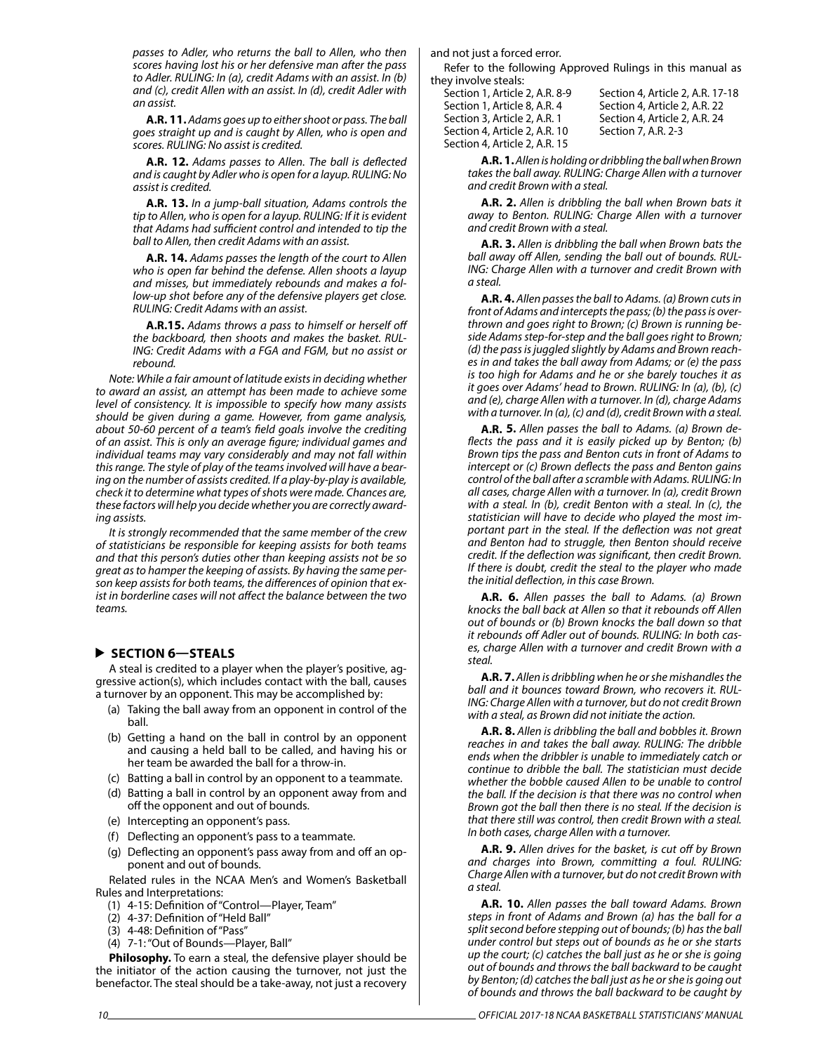*passes to Adler, who returns the ball to Allen, who then scores having lost his or her defensive man after the pass to Adler. RULING: In (a), credit Adams with an assist. In (b) and (c), credit Allen with an assist. In (d), credit Adler with an assist.*

**A.R. 11.** *Adams goes up to either shoot or pass. The ball goes straight up and is caught by Allen, who is open and scores. RULING: No assist is credited.*

**A.R. 12.** *Adams passes to Allen. The ball is deflected and is caught by Adler who is open for a layup. RULING: No assist is credited.*

**A.R. 13.** *In a jump-ball situation, Adams controls the tip to Allen, who is open for a layup. RULING: If it is evident that Adams had sufficient control and intended to tip the ball to Allen, then credit Adams with an assist.*

**A.R. 14.** *Adams passes the length of the court to Allen who is open far behind the defense. Allen shoots a layup and misses, but immediately rebounds and makes a follow-up shot before any of the defensive players get close. RULING: Credit Adams with an assist.*

**A.R.15.** *Adams throws a pass to himself or herself off the backboard, then shoots and makes the basket. RUL-ING: Credit Adams with a FGA and FGM, but no assist or rebound.*

*Note: While a fair amount of latitude exists in deciding whether to award an assist, an attempt has been made to achieve some level of consistency. It is impossible to specify how many assists should be given during a game. However, from game analysis, about 50-60 percent of a team's field goals involve the crediting of an assist. This is only an average figure; individual games and individual teams may vary considerably and may not fall within this range. The style of play of the teams involved will have a bearing on the number of assists credited. If a play-by-play is available, check it to determine what types of shots were made. Chances are, these factors will help you decide whether you are correctly awarding assists.*

*It is strongly recommended that the same member of the crew of statisticians be responsible for keeping assists for both teams and that this person's duties other than keeping assists not be so great as to hamper the keeping of assists. By having the same person keep assists for both teams, the differences of opinion that exist in borderline cases will not affect the balance between the two teams.*

#### **SECTION 6—STEALS**

A steal is credited to a player when the player's positive, aggressive action(s), which includes contact with the ball, causes a turnover by an opponent. This may be accomplished by:

- (a) Taking the ball away from an opponent in control of the ball.
- (b) Getting a hand on the ball in control by an opponent and causing a held ball to be called, and having his or her team be awarded the ball for a throw-in.
- (c) Batting a ball in control by an opponent to a teammate.
- (d) Batting a ball in control by an opponent away from and off the opponent and out of bounds.
- (e) Intercepting an opponent's pass.
- (f) Deflecting an opponent's pass to a teammate.
- (g) Deflecting an opponent's pass away from and off an opponent and out of bounds.

Related rules in the NCAA Men's and Women's Basketball Rules and Interpretations:

- (1) 4-15: Definition of "Control—Player, Team"
- (2) 4-37: Definition of "Held Ball"
- (3) 4-48: Definition of "Pass"
- (4) 7-1: "Out of Bounds—Player, Ball"

**Philosophy.** To earn a steal, the defensive player should be the initiator of the action causing the turnover, not just the benefactor. The steal should be a take-away, not just a recovery

and not just a forced error.

Refer to the following Approved Rulings in this manual as they involve steals:

| Section 1, Article 2, A.R. 8-9 | S |
|--------------------------------|---|
| Section 1. Article 8. A.R. 4   | S |
| Section 3. Article 2. A.R. 1   | S |
| Section 4, Article 2, A.R. 10  | S |
| Section 4, Article 2, A.R. 15  |   |

ection 4, Article 2, A.R. 17-18 ection 4, Article 2, A.R. 22 ection 4, Article 2, A.R. 24 ection 7, A.R. 2-3,

**A.R. 1.** *Allen is holding or dribbling the ball when Brown takes the ball away. RULING: Charge Allen with a turnover and credit Brown with a steal.*

**A.R. 2.** *Allen is dribbling the ball when Brown bats it away to Benton. RULING: Charge Allen with a turnover and credit Brown with a steal.*

**A.R. 3.** *Allen is dribbling the ball when Brown bats the ball away off Allen, sending the ball out of bounds. RUL-ING: Charge Allen with a turnover and credit Brown with a steal.*

**A.R. 4.** *Allen passes the ball to Adams. (a) Brown cuts in front of Adams and intercepts the pass; (b) the pass is overthrown and goes right to Brown; (c) Brown is running beside Adams step-for-step and the ball goes right to Brown; (d) the pass is juggled slightly by Adams and Brown reaches in and takes the ball away from Adams; or (e) the pass is too high for Adams and he or she barely touches it as it goes over Adams' head to Brown. RULING: In (a), (b), (c) and (e), charge Allen with a turnover. In (d), charge Adams with a turnover. In (a), (c) and (d), credit Brown with a steal.*

**A.R. 5.** *Allen passes the ball to Adams. (a) Brown deflects the pass and it is easily picked up by Benton; (b) Brown tips the pass and Benton cuts in front of Adams to intercept or (c) Brown deflects the pass and Benton gains control of the ball after a scramble with Adams. RULING: In all cases, charge Allen with a turnover. In (a), credit Brown with a steal. In (b), credit Benton with a steal. In (c), the statistician will have to decide who played the most important part in the steal. If the deflection was not great and Benton had to struggle, then Benton should receive credit. If the deflection was significant, then credit Brown. If there is doubt, credit the steal to the player who made the initial deflection, in this case Brown.*

**A.R. 6.** *Allen passes the ball to Adams. (a) Brown knocks the ball back at Allen so that it rebounds off Allen out of bounds or (b) Brown knocks the ball down so that it rebounds off Adler out of bounds. RULING: In both cases, charge Allen with a turnover and credit Brown with a steal.*

**A.R. 7.** *Allen is dribbling when he or she mishandles the ball and it bounces toward Brown, who recovers it. RUL-ING: Charge Allen with a turnover, but do not credit Brown with a steal, as Brown did not initiate the action.*

**A.R. 8.** *Allen is dribbling the ball and bobbles it. Brown reaches in and takes the ball away. RULING: The dribble ends when the dribbler is unable to immediately catch or continue to dribble the ball. The statistician must decide whether the bobble caused Allen to be unable to control the ball. If the decision is that there was no control when Brown got the ball then there is no steal. If the decision is that there still was control, then credit Brown with a steal. In both cases, charge Allen with a turnover.*

**A.R. 9.** *Allen drives for the basket, is cut off by Brown and charges into Brown, committing a foul. RULING: Charge Allen with a turnover, but do not credit Brown with a steal.*

**A.R. 10.** *Allen passes the ball toward Adams. Brown steps in front of Adams and Brown (a) has the ball for a split second before stepping out of bounds; (b) has the ball under control but steps out of bounds as he or she starts up the court; (c) catches the ball just as he or she is going out of bounds and throws the ball backward to be caught by Benton; (d) catches the ball just as he or she is going out of bounds and throws the ball backward to be caught by*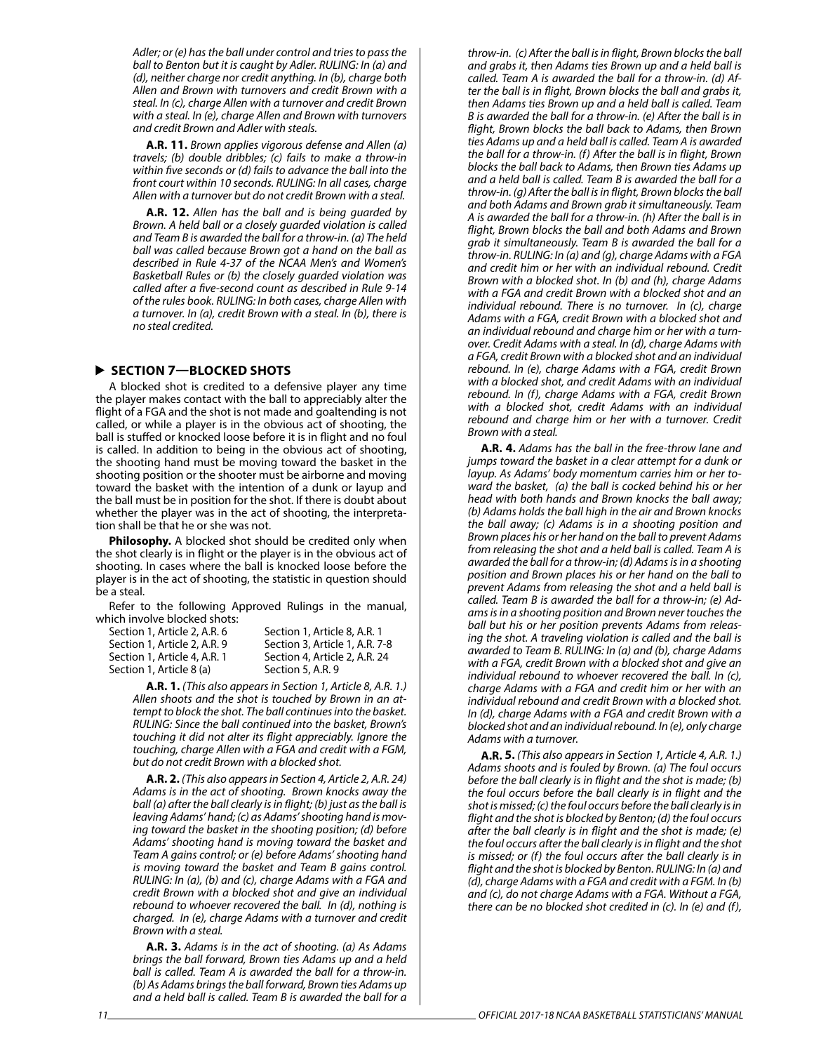*Adler; or (e) has the ball under control and tries to pass the ball to Benton but it is caught by Adler. RULING: In (a) and (d), neither charge nor credit anything. In (b), charge both Allen and Brown with turnovers and credit Brown with a steal. In (c), charge Allen with a turnover and credit Brown with a steal. In (e), charge Allen and Brown with turnovers and credit Brown and Adler with steals.*

**A.R. 11.** *Brown applies vigorous defense and Allen (a) travels; (b) double dribbles; (c) fails to make a throw-in within five seconds or (d) fails to advance the ball into the front court within 10 seconds. RULING: In all cases, charge Allen with a turnover but do not credit Brown with a steal.*

**A.R. 12.** *Allen has the ball and is being guarded by Brown. A held ball or a closely guarded violation is called and Team B is awarded the ball for a throw-in. (a) The held ball was called because Brown got a hand on the ball as described in Rule 4-37 of the NCAA Men's and Women's Basketball Rules or (b) the closely guarded violation was called after a five-second count as described in Rule 9-14 of the rules book. RULING: In both cases, charge Allen with a turnover. In (a), credit Brown with a steal. In (b), there is no steal credited.*

#### **SECTION 7—BLOCKED SHOTS**

A blocked shot is credited to a defensive player any time the player makes contact with the ball to appreciably alter the flight of a FGA and the shot is not made and goaltending is not called, or while a player is in the obvious act of shooting, the ball is stuffed or knocked loose before it is in flight and no foul is called. In addition to being in the obvious act of shooting, the shooting hand must be moving toward the basket in the shooting position or the shooter must be airborne and moving toward the basket with the intention of a dunk or layup and the ball must be in position for the shot. If there is doubt about whether the player was in the act of shooting, the interpretation shall be that he or she was not.

**Philosophy.** A blocked shot should be credited only when the shot clearly is in flight or the player is in the obvious act of shooting. In cases where the ball is knocked loose before the player is in the act of shooting, the statistic in question should be a steal.

Refer to the following Approved Rulings in the manual, which involve blocked shots:

| Section 1. Article 2. A.R. 6 | Section 1, Article 8, A.R. 1   |
|------------------------------|--------------------------------|
| Section 1. Article 2. A.R. 9 | Section 3, Article 1, A.R. 7-8 |
| Section 1, Article 4, A.R. 1 | Section 4, Article 2, A.R. 24  |
| Section 1, Article 8 (a)     | Section 5, A.R. 9              |
|                              |                                |

**A.R. 1.** *(This also appears in Section 1, Article 8, A.R. 1.) Allen shoots and the shot is touched by Brown in an attempt to block the shot. The ball continues into the basket. RULING: Since the ball continued into the basket, Brown's touching it did not alter its flight appreciably. Ignore the touching, charge Allen with a FGA and credit with a FGM, but do not credit Brown with a blocked shot.*

**A.R. 2.** *(This also appears in Section 4, Article 2, A.R. 24) Adams is in the act of shooting. Brown knocks away the ball (a) after the ball clearly is in flight; (b) just as the ball is leaving Adams' hand; (c) as Adams' shooting hand is moving toward the basket in the shooting position; (d) before Adams' shooting hand is moving toward the basket and Team A gains control; or (e) before Adams' shooting hand is moving toward the basket and Team B gains control. RULING: In (a), (b) and (c), charge Adams with a FGA and credit Brown with a blocked shot and give an individual rebound to whoever recovered the ball. In (d), nothing is charged. In (e), charge Adams with a turnover and credit Brown with a steal.*

**A.R. 3.** *Adams is in the act of shooting. (a) As Adams brings the ball forward, Brown ties Adams up and a held ball is called. Team A is awarded the ball for a throw-in. (b) As Adams brings the ball forward, Brown ties Adams up and a held ball is called. Team B is awarded the ball for a*  *throw-in. (c) After the ball is in flight, Brown blocks the ball and grabs it, then Adams ties Brown up and a held ball is called. Team A is awarded the ball for a throw-in. (d) After the ball is in flight, Brown blocks the ball and grabs it, then Adams ties Brown up and a held ball is called. Team B is awarded the ball for a throw-in. (e) After the ball is in flight, Brown blocks the ball back to Adams, then Brown ties Adams up and a held ball is called. Team A is awarded the ball for a throw-in. (f) After the ball is in flight, Brown blocks the ball back to Adams, then Brown ties Adams up and a held ball is called. Team B is awarded the ball for a throw-in. (g) After the ball is in flight, Brown blocks the ball and both Adams and Brown grab it simultaneously. Team A is awarded the ball for a throw-in. (h) After the ball is in flight, Brown blocks the ball and both Adams and Brown grab it simultaneously. Team B is awarded the ball for a throw-in. RULING: In (a) and (g), charge Adams with a FGA and credit him or her with an individual rebound. Credit Brown with a blocked shot. In (b) and (h), charge Adams with a FGA and credit Brown with a blocked shot and an individual rebound. There is no turnover. In (c), charge Adams with a FGA, credit Brown with a blocked shot and an individual rebound and charge him or her with a turnover. Credit Adams with a steal. In (d), charge Adams with a FGA, credit Brown with a blocked shot and an individual rebound. In (e), charge Adams with a FGA, credit Brown with a blocked shot, and credit Adams with an individual rebound. In (f), charge Adams with a FGA, credit Brown with a blocked shot, credit Adams with an individual rebound and charge him or her with a turnover. Credit Brown with a steal.* 

**A.R. 4.** *Adams has the ball in the free-throw lane and jumps toward the basket in a clear attempt for a dunk or layup. As Adams' body momentum carries him or her toward the basket, (a) the ball is cocked behind his or her head with both hands and Brown knocks the ball away; (b) Adams holds the ball high in the air and Brown knocks the ball away; (c) Adams is in a shooting position and Brown places his or her hand on the ball to prevent Adams from releasing the shot and a held ball is called. Team A is awarded the ball for a throw-in; (d) Adams is in a shooting position and Brown places his or her hand on the ball to prevent Adams from releasing the shot and a held ball is called. Team B is awarded the ball for a throw-in; (e) Adams is in a shooting position and Brown never touches the ball but his or her position prevents Adams from releasing the shot. A traveling violation is called and the ball is awarded to Team B. RULING: In (a) and (b), charge Adams with a FGA, credit Brown with a blocked shot and give an individual rebound to whoever recovered the ball. In (c), charge Adams with a FGA and credit him or her with an individual rebound and credit Brown with a blocked shot. In (d), charge Adams with a FGA and credit Brown with a blocked shot and an individual rebound. In (e), only charge Adams with a turnover.*

**A.R. 5.** *(This also appears in Section 1, Article 4, A.R. 1.) Adams shoots and is fouled by Brown. (a) The foul occurs before the ball clearly is in flight and the shot is made; (b) the foul occurs before the ball clearly is in flight and the shot is missed; (c) the foul occurs before the ball clearly is in flight and the shot is blocked by Benton; (d) the foul occurs after the ball clearly is in flight and the shot is made; (e) the foul occurs after the ball clearly is in flight and the shot is missed; or (f) the foul occurs after the ball clearly is in flight and the shot is blocked by Benton. RULING: In (a) and (d), charge Adams with a FGA and credit with a FGM. In (b) and (c), do not charge Adams with a FGA. Without a FGA, there can be no blocked shot credited in (c). In (e) and (f),*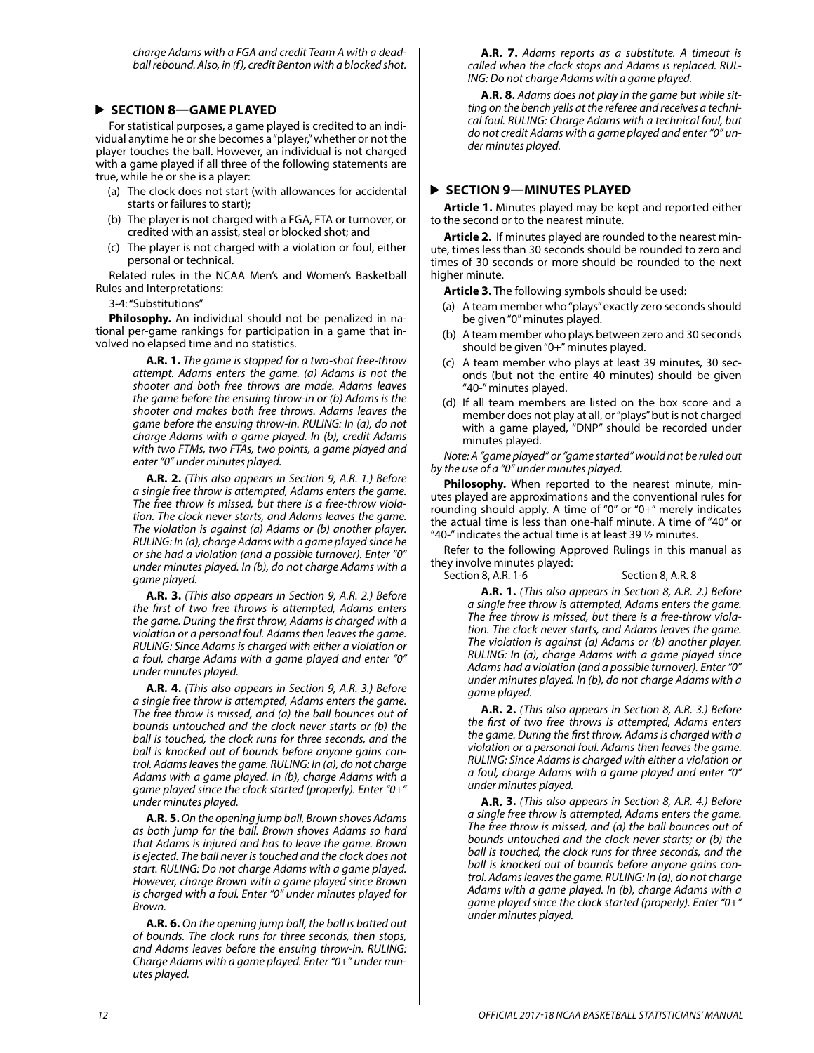*charge Adams with a FGA and credit Team A with a deadball rebound. Also, in (f), credit Benton with a blocked shot.*

#### **SECTION 8—GAME PLAYED**

For statistical purposes, a game played is credited to an individual anytime he or she becomes a "player," whether or not the player touches the ball. However, an individual is not charged with a game played if all three of the following statements are true, while he or she is a player:

- (a) The clock does not start (with allowances for accidental starts or failures to start);
- (b) The player is not charged with a FGA, FTA or turnover, or credited with an assist, steal or blocked shot; and
- (c) The player is not charged with a violation or foul, either personal or technical.

Related rules in the NCAA Men's and Women's Basketball Rules and Interpretations:

3-4: "Substitutions"

**Philosophy.** An individual should not be penalized in national per-game rankings for participation in a game that involved no elapsed time and no statistics.

> **A.R. 1.** *The game is stopped for a two-shot free-throw attempt. Adams enters the game. (a) Adams is not the shooter and both free throws are made. Adams leaves the game before the ensuing throw-in or (b) Adams is the shooter and makes both free throws. Adams leaves the game before the ensuing throw-in. RULING: In (a), do not charge Adams with a game played. In (b), credit Adams with two FTMs, two FTAs, two points, a game played and enter "0" under minutes played.*

> **A.R. 2.** *(This also appears in Section 9, A.R. 1.) Before a single free throw is attempted, Adams enters the game. The free throw is missed, but there is a free-throw violation. The clock never starts, and Adams leaves the game. The violation is against (a) Adams or (b) another player. RULING: In (a), charge Adams with a game played since he or she had a violation (and a possible turnover). Enter "0" under minutes played. In (b), do not charge Adams with a game played.*

> **A.R. 3.** *(This also appears in Section 9, A.R. 2.) Before the first of two free throws is attempted, Adams enters the game. During the first throw, Adams is charged with a violation or a personal foul. Adams then leaves the game. RULING: Since Adams is charged with either a violation or a foul, charge Adams with a game played and enter "0" under minutes played.*

> **A.R. 4.** *(This also appears in Section 9, A.R. 3.) Before a single free throw is attempted, Adams enters the game. The free throw is missed, and (a) the ball bounces out of bounds untouched and the clock never starts or (b) the ball is touched, the clock runs for three seconds, and the ball is knocked out of bounds before anyone gains control. Adams leaves the game. RULING: In (a), do not charge Adams with a game played. In (b), charge Adams with a game played since the clock started (properly). Enter "0+" under minutes played.*

> **A.R. 5.** *On the opening jump ball, Brown shoves Adams as both jump for the ball. Brown shoves Adams so hard that Adams is injured and has to leave the game. Brown is ejected. The ball never is touched and the clock does not start. RULING: Do not charge Adams with a game played. However, charge Brown with a game played since Brown is charged with a foul. Enter "0" under minutes played for Brown.*

> **A.R. 6.** *On the opening jump ball, the ball is batted out of bounds. The clock runs for three seconds, then stops, and Adams leaves before the ensuing throw-in. RULING: Charge Adams with a game played. Enter "0+" under minutes played.*

**A.R. 7.** *Adams reports as a substitute. A timeout is called when the clock stops and Adams is replaced. RUL-ING: Do not charge Adams with a game played.*

**A.R. 8.** *Adams does not play in the game but while sitting on the bench yells at the referee and receives a technical foul. RULING: Charge Adams with a technical foul, but do not credit Adams with a game played and enter "0" under minutes played.*

#### **SECTION 9—MINUTES PLAYED**

**Article 1.** Minutes played may be kept and reported either to the second or to the nearest minute.

**Article 2.** If minutes played are rounded to the nearest minute, times less than 30 seconds should be rounded to zero and times of 30 seconds or more should be rounded to the next higher minute.

**Article 3.** The following symbols should be used:

- (a) A team member who "plays" exactly zero seconds should be given "0" minutes played.
- (b) A team member who plays between zero and 30 seconds should be given "0+" minutes played.
- (c) A team member who plays at least 39 minutes, 30 seconds (but not the entire 40 minutes) should be given "40-" minutes played.
- (d) If all team members are listed on the box score and a member does not play at all, or "plays" but is not charged with a game played, "DNP" should be recorded under minutes played.

*Note: A "game played" or "game started" would not be ruled out by the use of a "0" under minutes played.*

**Philosophy.** When reported to the nearest minute, minutes played are approximations and the conventional rules for rounding should apply. A time of "0" or "0+" merely indicates the actual time is less than one-half minute. A time of "40" or "40-" indicates the actual time is at least 39  $\frac{1}{2}$  minutes.

Refer to the following Approved Rulings in this manual as they involve minutes played:

Section 8, A.R. 1-6 Section 8, A.R. 8

**A.R. 1.** *(This also appears in Section 8, A.R. 2.) Before a single free throw is attempted, Adams enters the game. The free throw is missed, but there is a free-throw violation. The clock never starts, and Adams leaves the game. The violation is against (a) Adams or (b) another player. RULING: In (a), charge Adams with a game played since Adams had a violation (and a possible turnover). Enter "0" under minutes played. In (b), do not charge Adams with a game played.*

**A.R. 2.** *(This also appears in Section 8, A.R. 3.) Before the first of two free throws is attempted, Adams enters the game. During the first throw, Adams is charged with a violation or a personal foul. Adams then leaves the game. RULING: Since Adams is charged with either a violation or a foul, charge Adams with a game played and enter "0" under minutes played.*

**A.R. 3.** *(This also appears in Section 8, A.R. 4.) Before a single free throw is attempted, Adams enters the game. The free throw is missed, and (a) the ball bounces out of bounds untouched and the clock never starts; or (b) the ball is touched, the clock runs for three seconds, and the ball is knocked out of bounds before anyone gains control. Adams leaves the game. RULING: In (a), do not charge Adams with a game played. In (b), charge Adams with a game played since the clock started (properly). Enter "0+" under minutes played.*